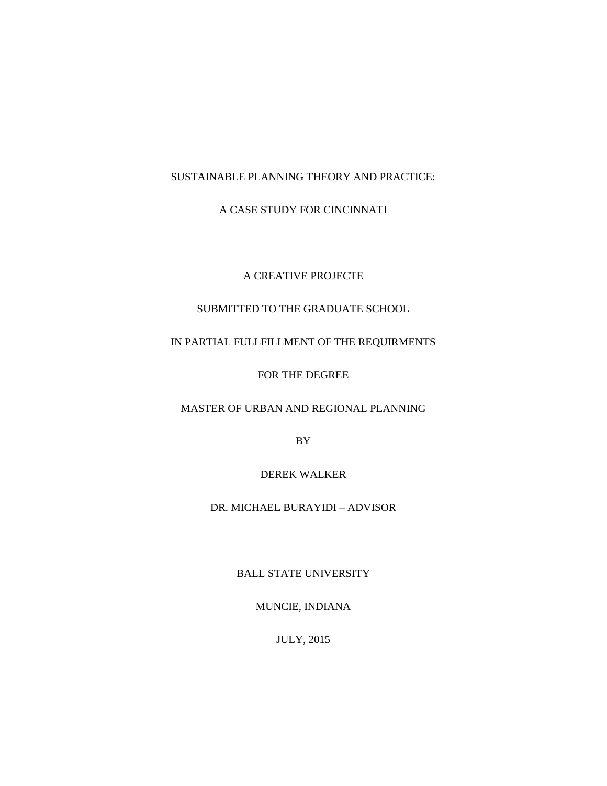#### SUSTAINABLE PLANNING THEORY AND PRACTICE:

A CASE STUDY FOR CINCINNATI

A CREATIVE PROJECTE

#### SUBMITTED TO THE GRADUATE SCHOOL

#### IN PARTIAL FULLFILLMENT OF THE REQUIRMENTS

FOR THE DEGREE

MASTER OF URBAN AND REGIONAL PLANNING

BY

#### DEREK WALKER

#### DR. MICHAEL BURAYIDI – ADVISOR

BALL STATE UNIVERSITY

MUNCIE, INDIANA

JULY, 2015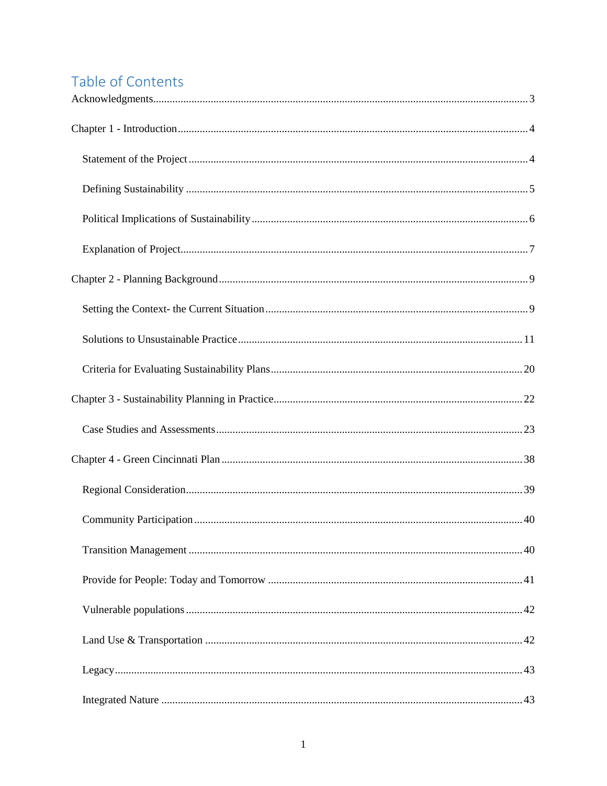### Table of Contents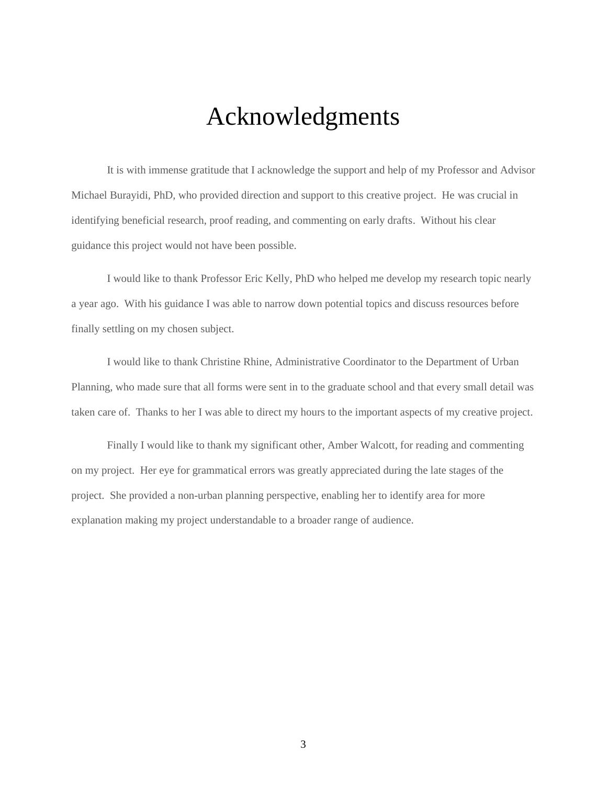### Acknowledgments

<span id="page-3-0"></span>It is with immense gratitude that I acknowledge the support and help of my Professor and Advisor Michael Burayidi, PhD, who provided direction and support to this creative project. He was crucial in identifying beneficial research, proof reading, and commenting on early drafts. Without his clear guidance this project would not have been possible.

I would like to thank Professor Eric Kelly, PhD who helped me develop my research topic nearly a year ago. With his guidance I was able to narrow down potential topics and discuss resources before finally settling on my chosen subject.

I would like to thank Christine Rhine, Administrative Coordinator to the Department of Urban Planning, who made sure that all forms were sent in to the graduate school and that every small detail was taken care of. Thanks to her I was able to direct my hours to the important aspects of my creative project.

Finally I would like to thank my significant other, Amber Walcott, for reading and commenting on my project. Her eye for grammatical errors was greatly appreciated during the late stages of the project. She provided a non-urban planning perspective, enabling her to identify area for more explanation making my project understandable to a broader range of audience.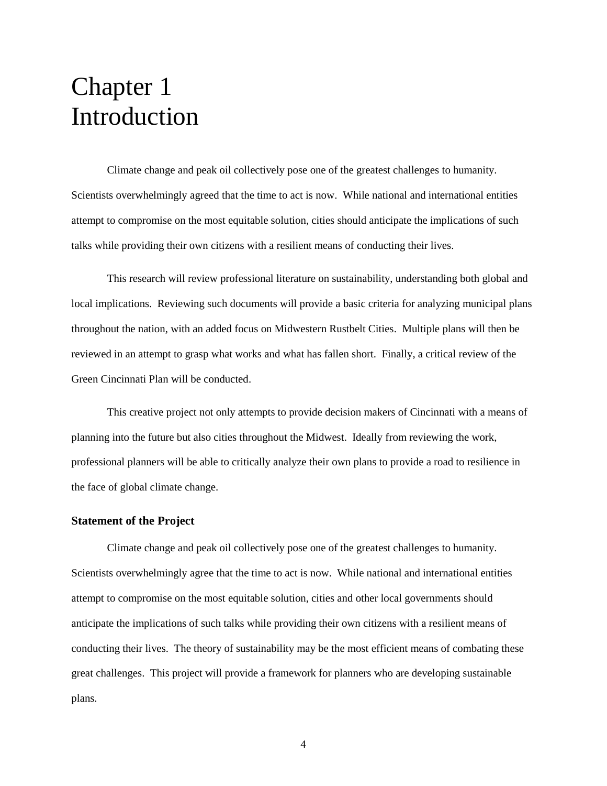## <span id="page-4-0"></span>Chapter 1 Introduction

Climate change and peak oil collectively pose one of the greatest challenges to humanity. Scientists overwhelmingly agreed that the time to act is now. While national and international entities attempt to compromise on the most equitable solution, cities should anticipate the implications of such talks while providing their own citizens with a resilient means of conducting their lives.

This research will review professional literature on sustainability, understanding both global and local implications. Reviewing such documents will provide a basic criteria for analyzing municipal plans throughout the nation, with an added focus on Midwestern Rustbelt Cities. Multiple plans will then be reviewed in an attempt to grasp what works and what has fallen short. Finally, a critical review of the Green Cincinnati Plan will be conducted.

This creative project not only attempts to provide decision makers of Cincinnati with a means of planning into the future but also cities throughout the Midwest. Ideally from reviewing the work, professional planners will be able to critically analyze their own plans to provide a road to resilience in the face of global climate change.

#### <span id="page-4-1"></span>**Statement of the Project**

Climate change and peak oil collectively pose one of the greatest challenges to humanity. Scientists overwhelmingly agree that the time to act is now. While national and international entities attempt to compromise on the most equitable solution, cities and other local governments should anticipate the implications of such talks while providing their own citizens with a resilient means of conducting their lives. The theory of sustainability may be the most efficient means of combating these great challenges. This project will provide a framework for planners who are developing sustainable plans.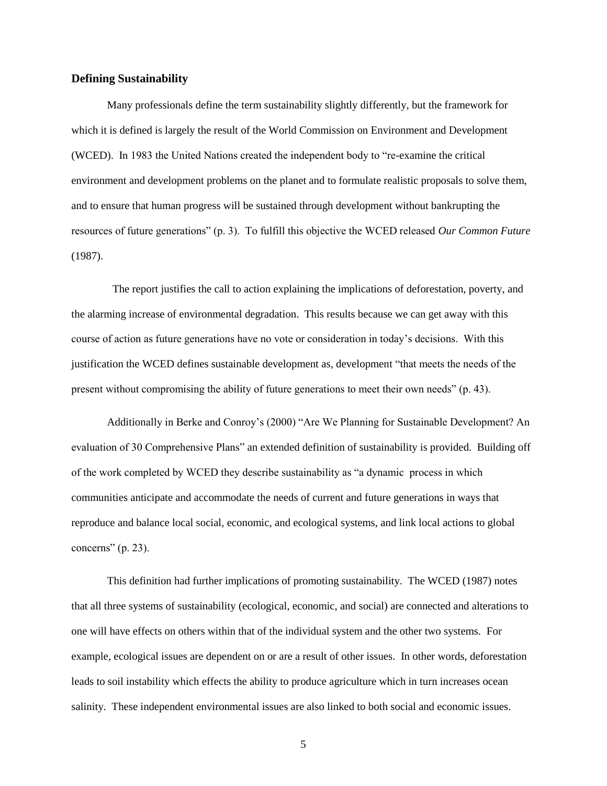#### <span id="page-5-0"></span>**Defining Sustainability**

Many professionals define the term sustainability slightly differently, but the framework for which it is defined is largely the result of the World Commission on Environment and Development (WCED). In 1983 the United Nations created the independent body to "re-examine the critical environment and development problems on the planet and to formulate realistic proposals to solve them, and to ensure that human progress will be sustained through development without bankrupting the resources of future generations" (p. 3). To fulfill this objective the WCED released *Our Common Future* (1987).

 The report justifies the call to action explaining the implications of deforestation, poverty, and the alarming increase of environmental degradation. This results because we can get away with this course of action as future generations have no vote or consideration in today's decisions. With this justification the WCED defines sustainable development as, development "that meets the needs of the present without compromising the ability of future generations to meet their own needs" (p. 43).

Additionally in Berke and Conroy's (2000) "Are We Planning for Sustainable Development? An evaluation of 30 Comprehensive Plans" an extended definition of sustainability is provided. Building off of the work completed by WCED they describe sustainability as "a dynamic process in which communities anticipate and accommodate the needs of current and future generations in ways that reproduce and balance local social, economic, and ecological systems, and link local actions to global concerns" (p. 23).

This definition had further implications of promoting sustainability. The WCED (1987) notes that all three systems of sustainability (ecological, economic, and social) are connected and alterations to one will have effects on others within that of the individual system and the other two systems. For example, ecological issues are dependent on or are a result of other issues. In other words, deforestation leads to soil instability which effects the ability to produce agriculture which in turn increases ocean salinity. These independent environmental issues are also linked to both social and economic issues.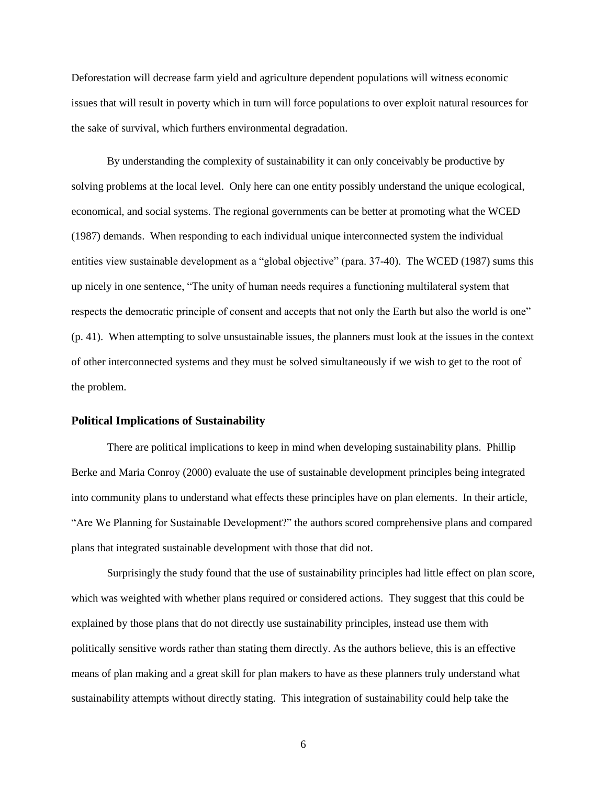Deforestation will decrease farm yield and agriculture dependent populations will witness economic issues that will result in poverty which in turn will force populations to over exploit natural resources for the sake of survival, which furthers environmental degradation.

By understanding the complexity of sustainability it can only conceivably be productive by solving problems at the local level. Only here can one entity possibly understand the unique ecological, economical, and social systems. The regional governments can be better at promoting what the WCED (1987) demands. When responding to each individual unique interconnected system the individual entities view sustainable development as a "global objective" (para. 37-40). The WCED (1987) sums this up nicely in one sentence, "The unity of human needs requires a functioning multilateral system that respects the democratic principle of consent and accepts that not only the Earth but also the world is one" (p. 41). When attempting to solve unsustainable issues, the planners must look at the issues in the context of other interconnected systems and they must be solved simultaneously if we wish to get to the root of the problem.

#### <span id="page-6-0"></span>**Political Implications of Sustainability**

There are political implications to keep in mind when developing sustainability plans. Phillip Berke and Maria Conroy (2000) evaluate the use of sustainable development principles being integrated into community plans to understand what effects these principles have on plan elements. In their article, "Are We Planning for Sustainable Development?" the authors scored comprehensive plans and compared plans that integrated sustainable development with those that did not.

Surprisingly the study found that the use of sustainability principles had little effect on plan score, which was weighted with whether plans required or considered actions. They suggest that this could be explained by those plans that do not directly use sustainability principles, instead use them with politically sensitive words rather than stating them directly. As the authors believe, this is an effective means of plan making and a great skill for plan makers to have as these planners truly understand what sustainability attempts without directly stating. This integration of sustainability could help take the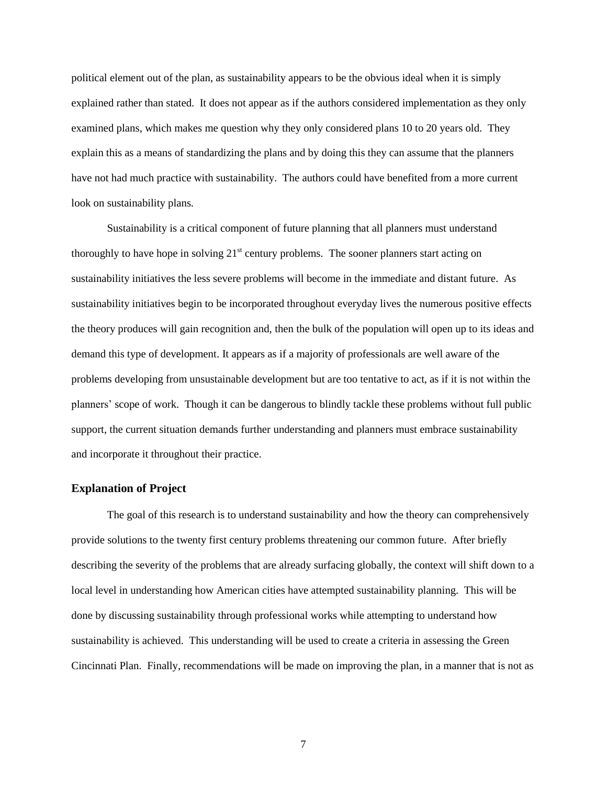political element out of the plan, as sustainability appears to be the obvious ideal when it is simply explained rather than stated. It does not appear as if the authors considered implementation as they only examined plans, which makes me question why they only considered plans 10 to 20 years old. They explain this as a means of standardizing the plans and by doing this they can assume that the planners have not had much practice with sustainability. The authors could have benefited from a more current look on sustainability plans.

Sustainability is a critical component of future planning that all planners must understand thoroughly to have hope in solving  $21<sup>st</sup>$  century problems. The sooner planners start acting on sustainability initiatives the less severe problems will become in the immediate and distant future. As sustainability initiatives begin to be incorporated throughout everyday lives the numerous positive effects the theory produces will gain recognition and, then the bulk of the population will open up to its ideas and demand this type of development. It appears as if a majority of professionals are well aware of the problems developing from unsustainable development but are too tentative to act, as if it is not within the planners' scope of work. Though it can be dangerous to blindly tackle these problems without full public support, the current situation demands further understanding and planners must embrace sustainability and incorporate it throughout their practice.

#### <span id="page-7-0"></span>**Explanation of Project**

The goal of this research is to understand sustainability and how the theory can comprehensively provide solutions to the twenty first century problems threatening our common future. After briefly describing the severity of the problems that are already surfacing globally, the context will shift down to a local level in understanding how American cities have attempted sustainability planning. This will be done by discussing sustainability through professional works while attempting to understand how sustainability is achieved. This understanding will be used to create a criteria in assessing the Green Cincinnati Plan. Finally, recommendations will be made on improving the plan, in a manner that is not as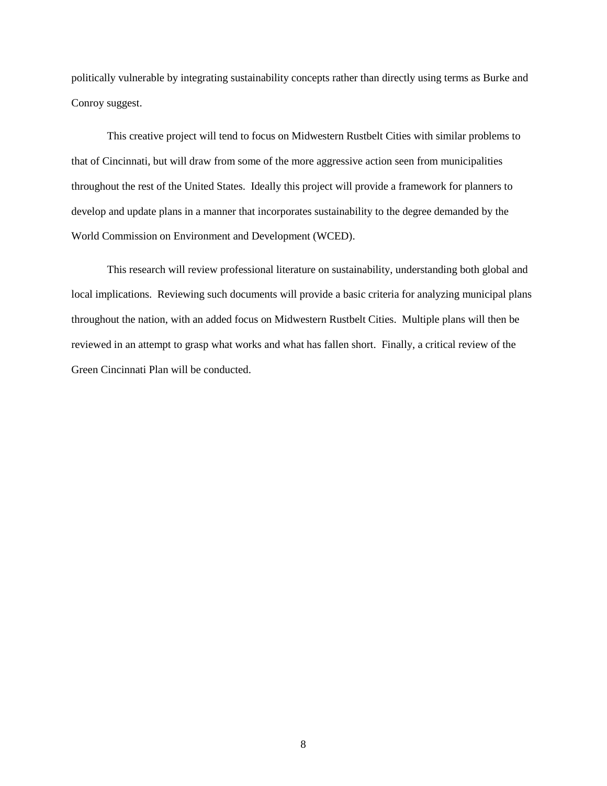politically vulnerable by integrating sustainability concepts rather than directly using terms as Burke and Conroy suggest.

This creative project will tend to focus on Midwestern Rustbelt Cities with similar problems to that of Cincinnati, but will draw from some of the more aggressive action seen from municipalities throughout the rest of the United States. Ideally this project will provide a framework for planners to develop and update plans in a manner that incorporates sustainability to the degree demanded by the World Commission on Environment and Development (WCED).

This research will review professional literature on sustainability, understanding both global and local implications. Reviewing such documents will provide a basic criteria for analyzing municipal plans throughout the nation, with an added focus on Midwestern Rustbelt Cities. Multiple plans will then be reviewed in an attempt to grasp what works and what has fallen short. Finally, a critical review of the Green Cincinnati Plan will be conducted.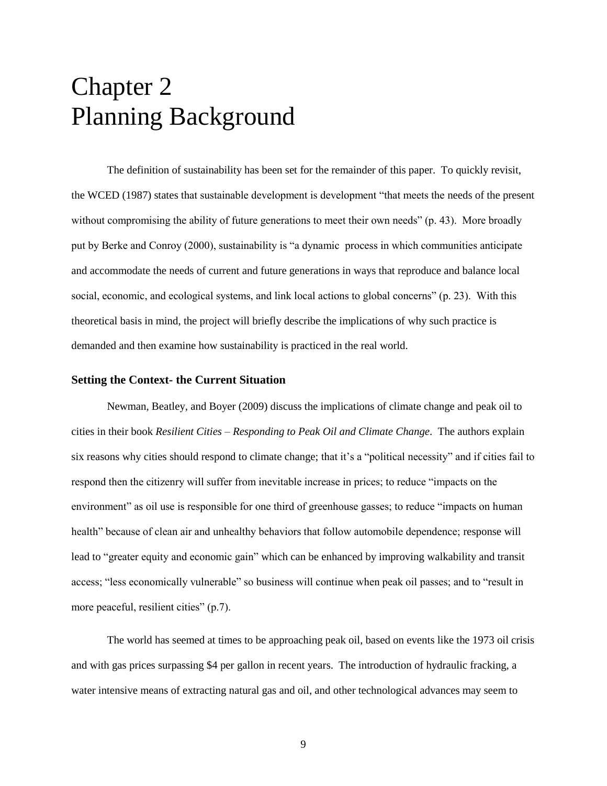## <span id="page-9-0"></span>Chapter 2 Planning Background

The definition of sustainability has been set for the remainder of this paper. To quickly revisit, the WCED (1987) states that sustainable development is development "that meets the needs of the present without compromising the ability of future generations to meet their own needs" (p. 43). More broadly put by Berke and Conroy (2000), sustainability is "a dynamic process in which communities anticipate and accommodate the needs of current and future generations in ways that reproduce and balance local social, economic, and ecological systems, and link local actions to global concerns" (p. 23). With this theoretical basis in mind, the project will briefly describe the implications of why such practice is demanded and then examine how sustainability is practiced in the real world.

#### <span id="page-9-1"></span>**Setting the Context- the Current Situation**

Newman, Beatley, and Boyer (2009) discuss the implications of climate change and peak oil to cities in their book *Resilient Cities – Responding to Peak Oil and Climate Change*. The authors explain six reasons why cities should respond to climate change; that it's a "political necessity" and if cities fail to respond then the citizenry will suffer from inevitable increase in prices; to reduce "impacts on the environment" as oil use is responsible for one third of greenhouse gasses; to reduce "impacts on human health" because of clean air and unhealthy behaviors that follow automobile dependence; response will lead to "greater equity and economic gain" which can be enhanced by improving walkability and transit access; "less economically vulnerable" so business will continue when peak oil passes; and to "result in more peaceful, resilient cities" (p.7).

The world has seemed at times to be approaching peak oil, based on events like the 1973 oil crisis and with gas prices surpassing \$4 per gallon in recent years. The introduction of hydraulic fracking, a water intensive means of extracting natural gas and oil, and other technological advances may seem to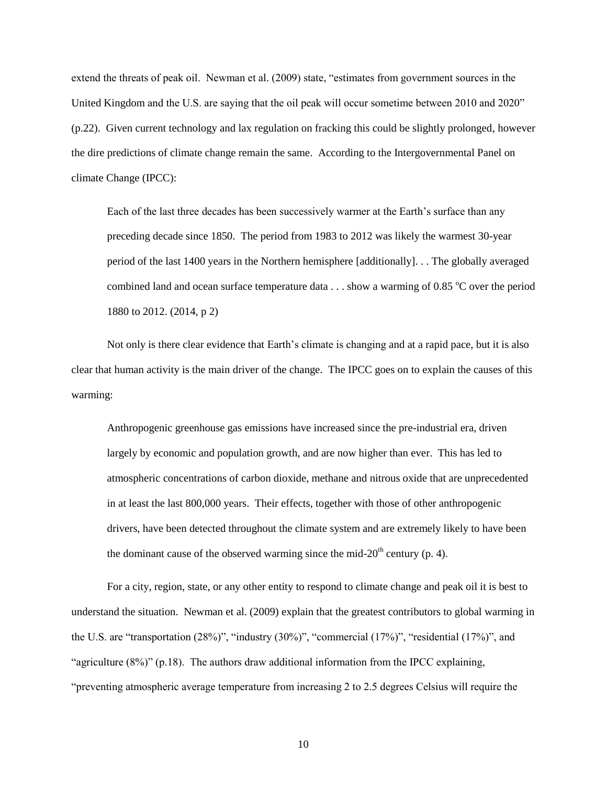extend the threats of peak oil. Newman et al. (2009) state, "estimates from government sources in the United Kingdom and the U.S. are saying that the oil peak will occur sometime between 2010 and 2020" (p.22). Given current technology and lax regulation on fracking this could be slightly prolonged, however the dire predictions of climate change remain the same. According to the Intergovernmental Panel on climate Change (IPCC):

Each of the last three decades has been successively warmer at the Earth's surface than any preceding decade since 1850. The period from 1983 to 2012 was likely the warmest 30-year period of the last 1400 years in the Northern hemisphere [additionally]. . . The globally averaged combined land and ocean surface temperature data  $\dots$  show a warming of 0.85 °C over the period 1880 to 2012. (2014, p 2)

Not only is there clear evidence that Earth's climate is changing and at a rapid pace, but it is also clear that human activity is the main driver of the change. The IPCC goes on to explain the causes of this warming:

Anthropogenic greenhouse gas emissions have increased since the pre-industrial era, driven largely by economic and population growth, and are now higher than ever. This has led to atmospheric concentrations of carbon dioxide, methane and nitrous oxide that are unprecedented in at least the last 800,000 years. Their effects, together with those of other anthropogenic drivers, have been detected throughout the climate system and are extremely likely to have been the dominant cause of the observed warming since the mid- $20<sup>th</sup>$  century (p. 4).

For a city, region, state, or any other entity to respond to climate change and peak oil it is best to understand the situation. Newman et al. (2009) explain that the greatest contributors to global warming in the U.S. are "transportation (28%)", "industry (30%)", "commercial (17%)", "residential (17%)", and "agriculture  $(8\%)$ " (p.18). The authors draw additional information from the IPCC explaining, "preventing atmospheric average temperature from increasing 2 to 2.5 degrees Celsius will require the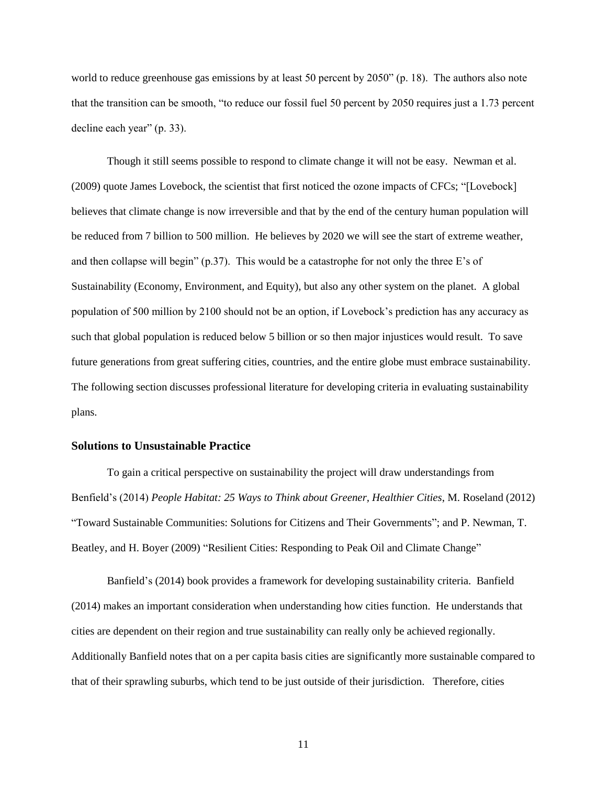world to reduce greenhouse gas emissions by at least 50 percent by 2050" (p. 18). The authors also note that the transition can be smooth, "to reduce our fossil fuel 50 percent by 2050 requires just a 1.73 percent decline each year" (p. 33).

Though it still seems possible to respond to climate change it will not be easy. Newman et al. (2009) quote James Lovebock, the scientist that first noticed the ozone impacts of CFCs; "[Lovebock] believes that climate change is now irreversible and that by the end of the century human population will be reduced from 7 billion to 500 million. He believes by 2020 we will see the start of extreme weather, and then collapse will begin" (p.37). This would be a catastrophe for not only the three E's of Sustainability (Economy, Environment, and Equity), but also any other system on the planet. A global population of 500 million by 2100 should not be an option, if Lovebock's prediction has any accuracy as such that global population is reduced below 5 billion or so then major injustices would result. To save future generations from great suffering cities, countries, and the entire globe must embrace sustainability. The following section discusses professional literature for developing criteria in evaluating sustainability plans.

#### <span id="page-11-0"></span>**Solutions to Unsustainable Practice**

To gain a critical perspective on sustainability the project will draw understandings from Benfield's (2014) *People Habitat: 25 Ways to Think about Greener, Healthier Cities*, M. Roseland (2012) "Toward Sustainable Communities: Solutions for Citizens and Their Governments"; and P. Newman, T. Beatley, and H. Boyer (2009) "Resilient Cities: Responding to Peak Oil and Climate Change"

Banfield's (2014) book provides a framework for developing sustainability criteria. Banfield (2014) makes an important consideration when understanding how cities function. He understands that cities are dependent on their region and true sustainability can really only be achieved regionally. Additionally Banfield notes that on a per capita basis cities are significantly more sustainable compared to that of their sprawling suburbs, which tend to be just outside of their jurisdiction. Therefore, cities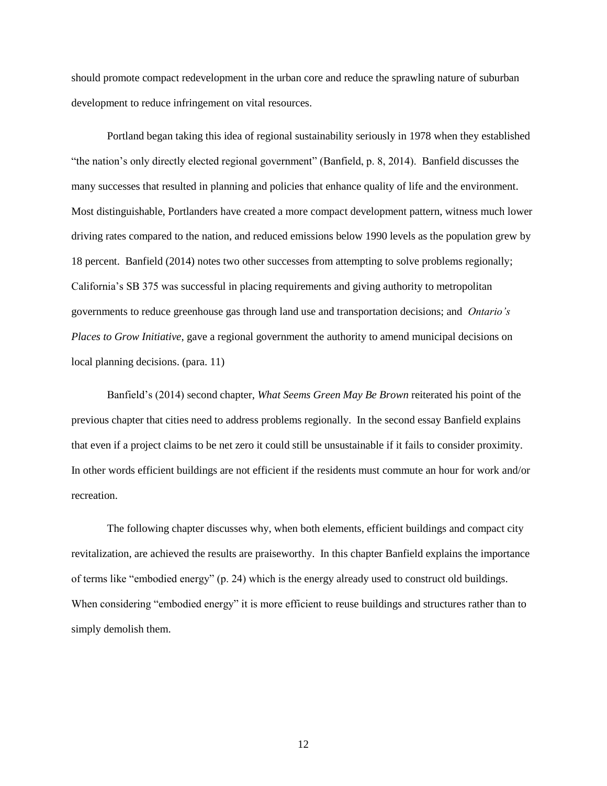should promote compact redevelopment in the urban core and reduce the sprawling nature of suburban development to reduce infringement on vital resources.

Portland began taking this idea of regional sustainability seriously in 1978 when they established "the nation's only directly elected regional government" (Banfield, p. 8, 2014). Banfield discusses the many successes that resulted in planning and policies that enhance quality of life and the environment. Most distinguishable, Portlanders have created a more compact development pattern, witness much lower driving rates compared to the nation, and reduced emissions below 1990 levels as the population grew by 18 percent. Banfield (2014) notes two other successes from attempting to solve problems regionally; California's SB 375 was successful in placing requirements and giving authority to metropolitan governments to reduce greenhouse gas through land use and transportation decisions; and *Ontario's Places to Grow Initiative*, gave a regional government the authority to amend municipal decisions on local planning decisions. (para. 11)

Banfield's (2014) second chapter, *What Seems Green May Be Brown* reiterated his point of the previous chapter that cities need to address problems regionally. In the second essay Banfield explains that even if a project claims to be net zero it could still be unsustainable if it fails to consider proximity. In other words efficient buildings are not efficient if the residents must commute an hour for work and/or recreation.

The following chapter discusses why, when both elements, efficient buildings and compact city revitalization, are achieved the results are praiseworthy. In this chapter Banfield explains the importance of terms like "embodied energy" (p. 24) which is the energy already used to construct old buildings. When considering "embodied energy" it is more efficient to reuse buildings and structures rather than to simply demolish them.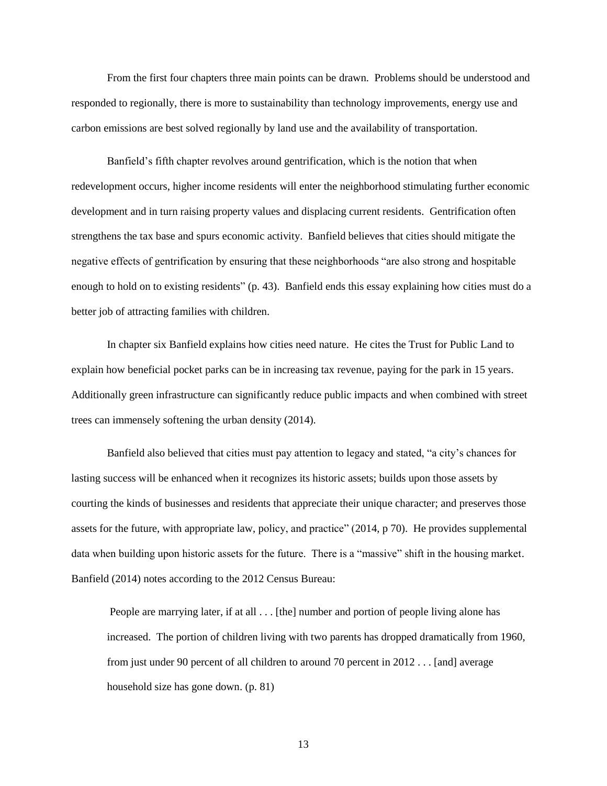From the first four chapters three main points can be drawn. Problems should be understood and responded to regionally, there is more to sustainability than technology improvements, energy use and carbon emissions are best solved regionally by land use and the availability of transportation.

Banfield's fifth chapter revolves around gentrification, which is the notion that when redevelopment occurs, higher income residents will enter the neighborhood stimulating further economic development and in turn raising property values and displacing current residents. Gentrification often strengthens the tax base and spurs economic activity. Banfield believes that cities should mitigate the negative effects of gentrification by ensuring that these neighborhoods "are also strong and hospitable enough to hold on to existing residents" (p. 43). Banfield ends this essay explaining how cities must do a better job of attracting families with children.

In chapter six Banfield explains how cities need nature. He cites the Trust for Public Land to explain how beneficial pocket parks can be in increasing tax revenue, paying for the park in 15 years. Additionally green infrastructure can significantly reduce public impacts and when combined with street trees can immensely softening the urban density (2014).

Banfield also believed that cities must pay attention to legacy and stated, "a city's chances for lasting success will be enhanced when it recognizes its historic assets; builds upon those assets by courting the kinds of businesses and residents that appreciate their unique character; and preserves those assets for the future, with appropriate law, policy, and practice" (2014, p 70). He provides supplemental data when building upon historic assets for the future. There is a "massive" shift in the housing market. Banfield (2014) notes according to the 2012 Census Bureau:

People are marrying later, if at all . . . [the] number and portion of people living alone has increased. The portion of children living with two parents has dropped dramatically from 1960, from just under 90 percent of all children to around 70 percent in 2012 . . . [and] average household size has gone down. (p. 81)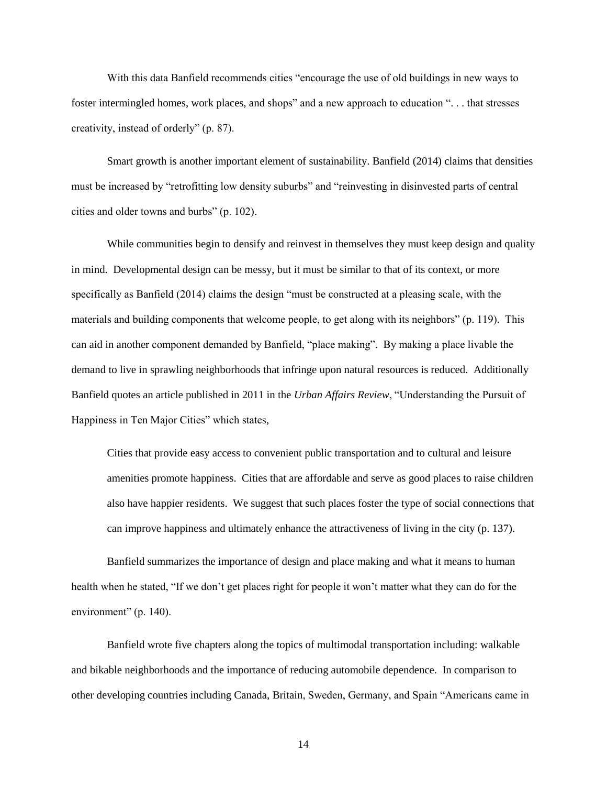With this data Banfield recommends cities "encourage the use of old buildings in new ways to foster intermingled homes, work places, and shops" and a new approach to education ". . . that stresses creativity, instead of orderly" (p. 87).

Smart growth is another important element of sustainability. Banfield (2014) claims that densities must be increased by "retrofitting low density suburbs" and "reinvesting in disinvested parts of central cities and older towns and burbs" (p. 102).

While communities begin to densify and reinvest in themselves they must keep design and quality in mind. Developmental design can be messy, but it must be similar to that of its context, or more specifically as Banfield (2014) claims the design "must be constructed at a pleasing scale, with the materials and building components that welcome people, to get along with its neighbors" (p. 119). This can aid in another component demanded by Banfield, "place making". By making a place livable the demand to live in sprawling neighborhoods that infringe upon natural resources is reduced. Additionally Banfield quotes an article published in 2011 in the *Urban Affairs Review*, "Understanding the Pursuit of Happiness in Ten Major Cities" which states,

Cities that provide easy access to convenient public transportation and to cultural and leisure amenities promote happiness. Cities that are affordable and serve as good places to raise children also have happier residents. We suggest that such places foster the type of social connections that can improve happiness and ultimately enhance the attractiveness of living in the city (p. 137).

Banfield summarizes the importance of design and place making and what it means to human health when he stated, "If we don't get places right for people it won't matter what they can do for the environment" (p. 140).

Banfield wrote five chapters along the topics of multimodal transportation including: walkable and bikable neighborhoods and the importance of reducing automobile dependence. In comparison to other developing countries including Canada, Britain, Sweden, Germany, and Spain "Americans came in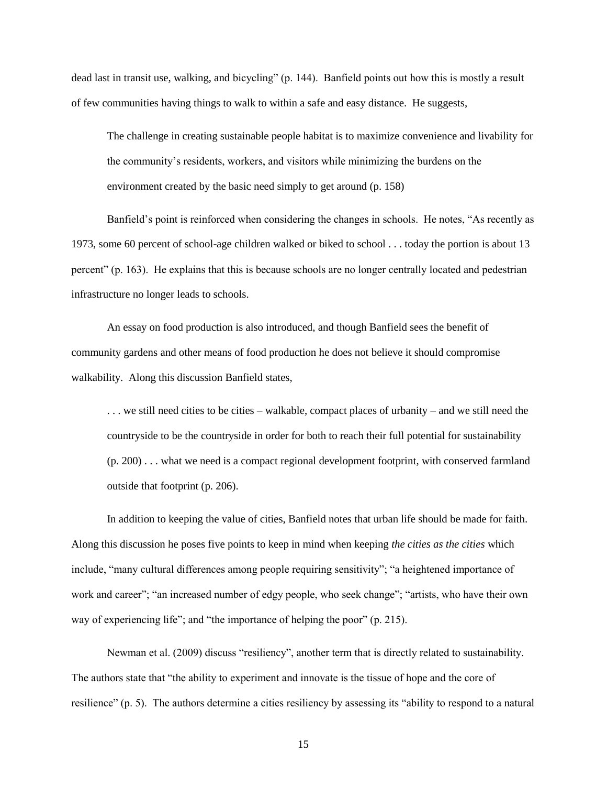dead last in transit use, walking, and bicycling" (p. 144). Banfield points out how this is mostly a result of few communities having things to walk to within a safe and easy distance. He suggests,

The challenge in creating sustainable people habitat is to maximize convenience and livability for the community's residents, workers, and visitors while minimizing the burdens on the environment created by the basic need simply to get around (p. 158)

Banfield's point is reinforced when considering the changes in schools. He notes, "As recently as 1973, some 60 percent of school-age children walked or biked to school . . . today the portion is about 13 percent" (p. 163). He explains that this is because schools are no longer centrally located and pedestrian infrastructure no longer leads to schools.

An essay on food production is also introduced, and though Banfield sees the benefit of community gardens and other means of food production he does not believe it should compromise walkability. Along this discussion Banfield states,

. . . we still need cities to be cities – walkable, compact places of urbanity – and we still need the countryside to be the countryside in order for both to reach their full potential for sustainability (p. 200) . . . what we need is a compact regional development footprint, with conserved farmland outside that footprint (p. 206).

In addition to keeping the value of cities, Banfield notes that urban life should be made for faith. Along this discussion he poses five points to keep in mind when keeping *the cities as the cities* which include, "many cultural differences among people requiring sensitivity"; "a heightened importance of work and career"; "an increased number of edgy people, who seek change"; "artists, who have their own way of experiencing life"; and "the importance of helping the poor" (p. 215).

Newman et al. (2009) discuss "resiliency", another term that is directly related to sustainability. The authors state that "the ability to experiment and innovate is the tissue of hope and the core of resilience" (p. 5). The authors determine a cities resiliency by assessing its "ability to respond to a natural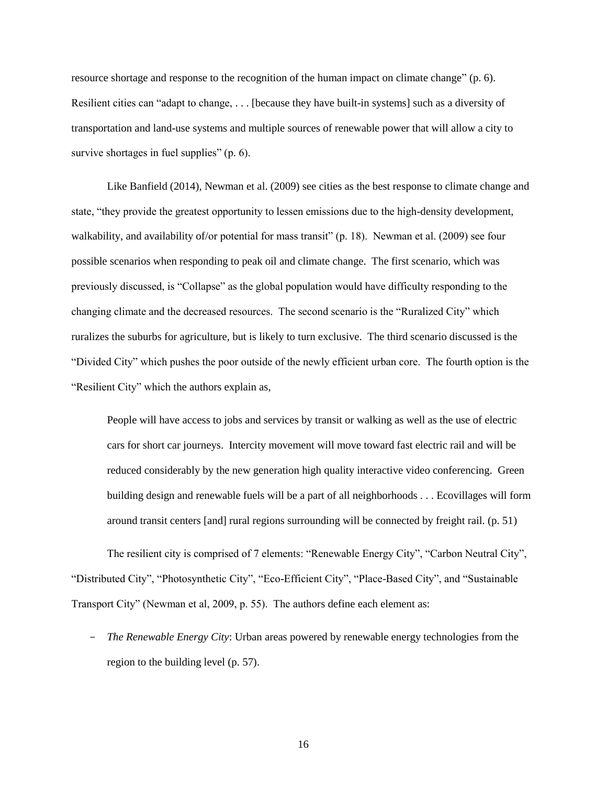resource shortage and response to the recognition of the human impact on climate change" (p. 6). Resilient cities can "adapt to change, . . . [because they have built-in systems] such as a diversity of transportation and land-use systems and multiple sources of renewable power that will allow a city to survive shortages in fuel supplies" (p. 6).

Like Banfield (2014), Newman et al. (2009) see cities as the best response to climate change and state, "they provide the greatest opportunity to lessen emissions due to the high-density development, walkability, and availability of/or potential for mass transit" (p. 18). Newman et al. (2009) see four possible scenarios when responding to peak oil and climate change. The first scenario, which was previously discussed, is "Collapse" as the global population would have difficulty responding to the changing climate and the decreased resources. The second scenario is the "Ruralized City" which ruralizes the suburbs for agriculture, but is likely to turn exclusive. The third scenario discussed is the "Divided City" which pushes the poor outside of the newly efficient urban core. The fourth option is the "Resilient City" which the authors explain as,

People will have access to jobs and services by transit or walking as well as the use of electric cars for short car journeys. Intercity movement will move toward fast electric rail and will be reduced considerably by the new generation high quality interactive video conferencing. Green building design and renewable fuels will be a part of all neighborhoods . . . Ecovillages will form around transit centers [and] rural regions surrounding will be connected by freight rail. (p. 51)

The resilient city is comprised of 7 elements: "Renewable Energy City", "Carbon Neutral City", "Distributed City", "Photosynthetic City", "Eco-Efficient City", "Place-Based City", and "Sustainable Transport City" (Newman et al, 2009, p. 55). The authors define each element as:

- *The Renewable Energy City*: Urban areas powered by renewable energy technologies from the region to the building level (p. 57).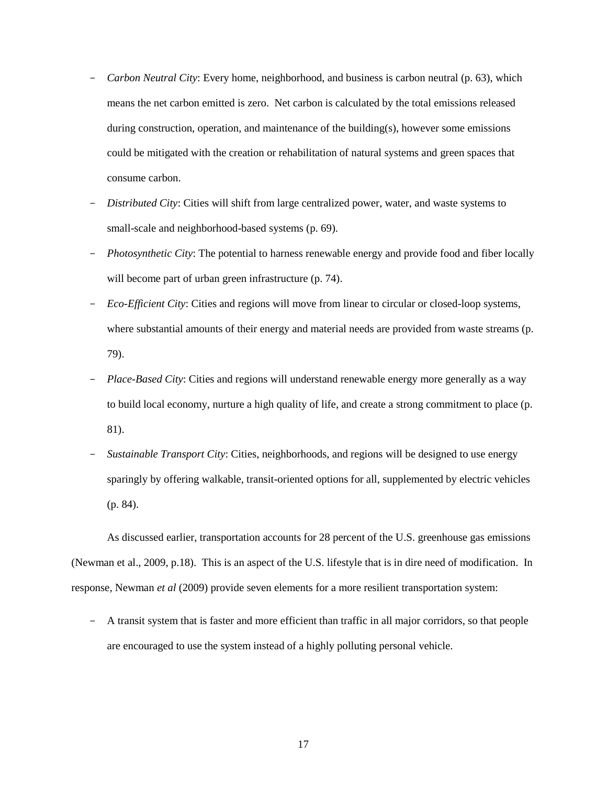- *Carbon Neutral City*: Every home, neighborhood, and business is carbon neutral (p. 63), which means the net carbon emitted is zero. Net carbon is calculated by the total emissions released during construction, operation, and maintenance of the building $(s)$ , however some emissions could be mitigated with the creation or rehabilitation of natural systems and green spaces that consume carbon.
- *Distributed City*: Cities will shift from large centralized power, water, and waste systems to small-scale and neighborhood-based systems (p. 69).
- *Photosynthetic City*: The potential to harness renewable energy and provide food and fiber locally will become part of urban green infrastructure (p. 74).
- *Eco-Efficient City*: Cities and regions will move from linear to circular or closed-loop systems, where substantial amounts of their energy and material needs are provided from waste streams (p. 79).
- *Place-Based City*: Cities and regions will understand renewable energy more generally as a way to build local economy, nurture a high quality of life, and create a strong commitment to place (p. 81).
- *Sustainable Transport City*: Cities, neighborhoods, and regions will be designed to use energy sparingly by offering walkable, transit-oriented options for all, supplemented by electric vehicles (p. 84).

As discussed earlier, transportation accounts for 28 percent of the U.S. greenhouse gas emissions (Newman et al., 2009, p.18). This is an aspect of the U.S. lifestyle that is in dire need of modification. In response, Newman *et al* (2009) provide seven elements for a more resilient transportation system:

- A transit system that is faster and more efficient than traffic in all major corridors, so that people are encouraged to use the system instead of a highly polluting personal vehicle.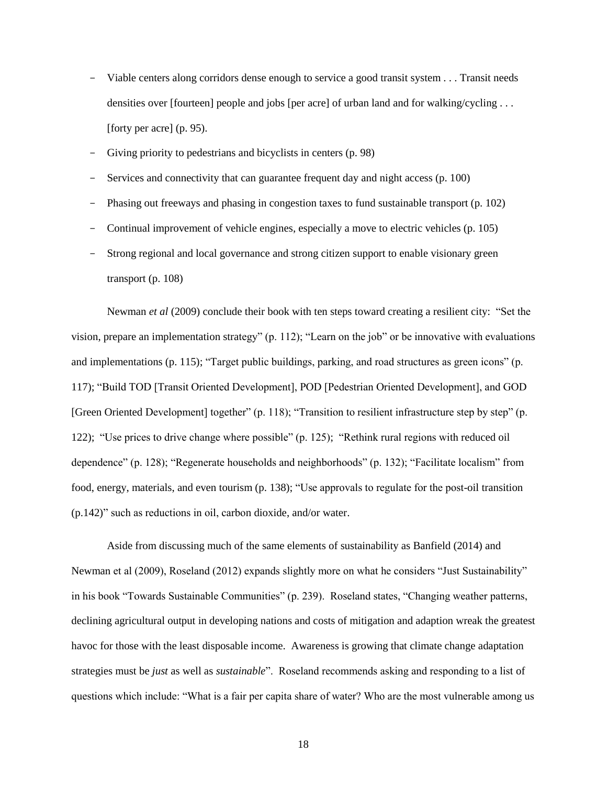- Viable centers along corridors dense enough to service a good transit system . . . Transit needs densities over [fourteen] people and jobs [per acre] of urban land and for walking/cycling . . . [forty per acre] (p. 95).
- Giving priority to pedestrians and bicyclists in centers (p. 98)
- Services and connectivity that can guarantee frequent day and night access (p. 100)
- Phasing out freeways and phasing in congestion taxes to fund sustainable transport (p. 102)
- Continual improvement of vehicle engines, especially a move to electric vehicles (p. 105)
- Strong regional and local governance and strong citizen support to enable visionary green transport (p. 108)

Newman *et al* (2009) conclude their book with ten steps toward creating a resilient city: "Set the vision, prepare an implementation strategy" (p. 112); "Learn on the job" or be innovative with evaluations and implementations (p. 115); "Target public buildings, parking, and road structures as green icons" (p. 117); "Build TOD [Transit Oriented Development], POD [Pedestrian Oriented Development], and GOD [Green Oriented Development] together" (p. 118); "Transition to resilient infrastructure step by step" (p. 122); "Use prices to drive change where possible" (p. 125); "Rethink rural regions with reduced oil dependence" (p. 128); "Regenerate households and neighborhoods" (p. 132); "Facilitate localism" from food, energy, materials, and even tourism (p. 138); "Use approvals to regulate for the post-oil transition (p.142)" such as reductions in oil, carbon dioxide, and/or water.

Aside from discussing much of the same elements of sustainability as Banfield (2014) and Newman et al (2009), Roseland (2012) expands slightly more on what he considers "Just Sustainability" in his book "Towards Sustainable Communities" (p. 239). Roseland states, "Changing weather patterns, declining agricultural output in developing nations and costs of mitigation and adaption wreak the greatest havoc for those with the least disposable income. Awareness is growing that climate change adaptation strategies must be *just* as well as *sustainable*". Roseland recommends asking and responding to a list of questions which include: "What is a fair per capita share of water? Who are the most vulnerable among us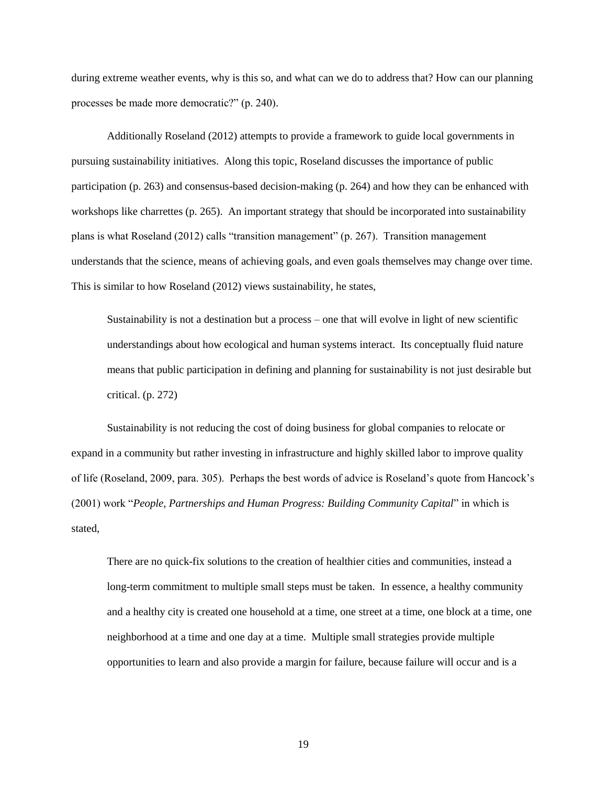during extreme weather events, why is this so, and what can we do to address that? How can our planning processes be made more democratic?" (p. 240).

Additionally Roseland (2012) attempts to provide a framework to guide local governments in pursuing sustainability initiatives. Along this topic, Roseland discusses the importance of public participation (p. 263) and consensus-based decision-making (p. 264) and how they can be enhanced with workshops like charrettes (p. 265). An important strategy that should be incorporated into sustainability plans is what Roseland (2012) calls "transition management" (p. 267). Transition management understands that the science, means of achieving goals, and even goals themselves may change over time. This is similar to how Roseland (2012) views sustainability, he states,

Sustainability is not a destination but a process – one that will evolve in light of new scientific understandings about how ecological and human systems interact. Its conceptually fluid nature means that public participation in defining and planning for sustainability is not just desirable but critical. (p. 272)

Sustainability is not reducing the cost of doing business for global companies to relocate or expand in a community but rather investing in infrastructure and highly skilled labor to improve quality of life (Roseland, 2009, para. 305). Perhaps the best words of advice is Roseland's quote from Hancock's (2001) work "*People, Partnerships and Human Progress: Building Community Capital*" in which is stated,

There are no quick-fix solutions to the creation of healthier cities and communities, instead a long-term commitment to multiple small steps must be taken. In essence, a healthy community and a healthy city is created one household at a time, one street at a time, one block at a time, one neighborhood at a time and one day at a time. Multiple small strategies provide multiple opportunities to learn and also provide a margin for failure, because failure will occur and is a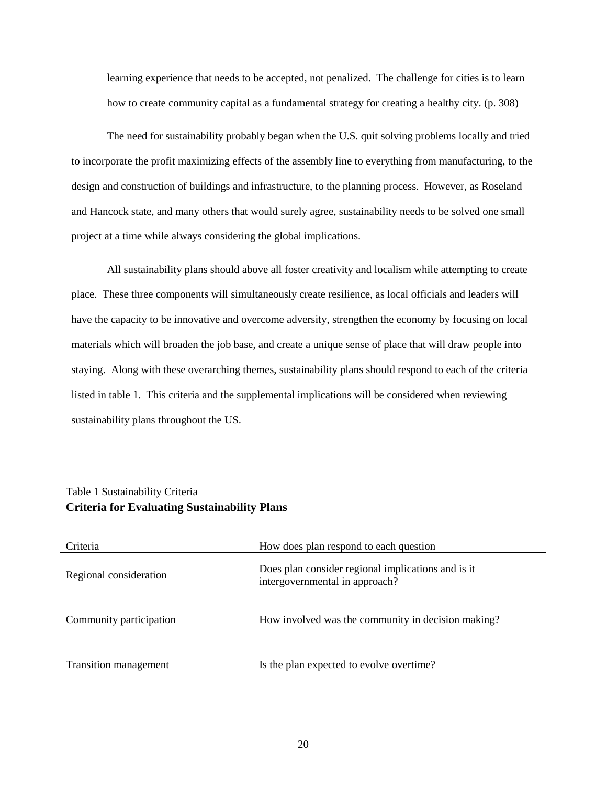learning experience that needs to be accepted, not penalized. The challenge for cities is to learn how to create community capital as a fundamental strategy for creating a healthy city. (p. 308)

The need for sustainability probably began when the U.S. quit solving problems locally and tried to incorporate the profit maximizing effects of the assembly line to everything from manufacturing, to the design and construction of buildings and infrastructure, to the planning process. However, as Roseland and Hancock state, and many others that would surely agree, sustainability needs to be solved one small project at a time while always considering the global implications.

All sustainability plans should above all foster creativity and localism while attempting to create place. These three components will simultaneously create resilience, as local officials and leaders will have the capacity to be innovative and overcome adversity, strengthen the economy by focusing on local materials which will broaden the job base, and create a unique sense of place that will draw people into staying. Along with these overarching themes, sustainability plans should respond to each of the criteria listed in table 1. This criteria and the supplemental implications will be considered when reviewing sustainability plans throughout the US.

# Criteria How does plan respond to each question Regional consideration Does plan consider regional implications and is it intergovernmental in approach? Community participation **How** involved was the community in decision making? Transition management Is the plan expected to evolve overtime?

### <span id="page-20-0"></span>Table 1 Sustainability Criteria **Criteria for Evaluating Sustainability Plans**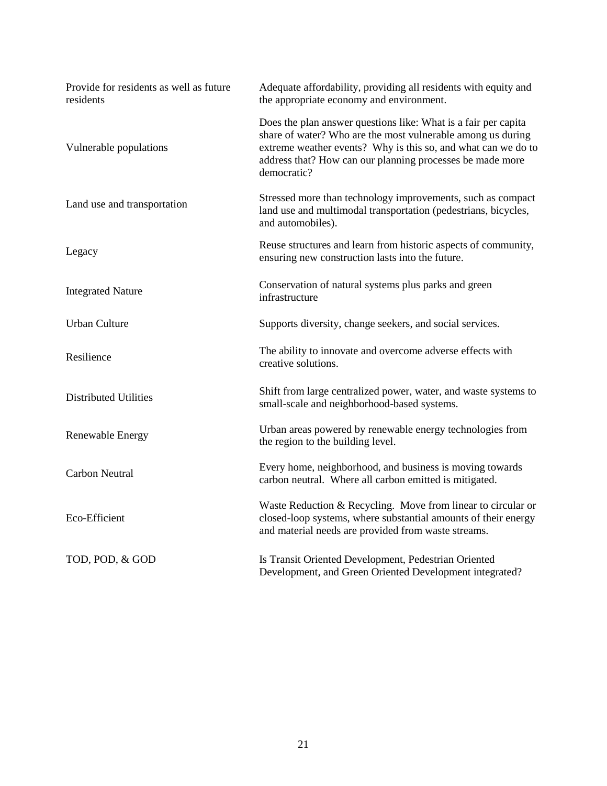| Provide for residents as well as future<br>residents | Adequate affordability, providing all residents with equity and<br>the appropriate economy and environment.                                                                                                                                                                |
|------------------------------------------------------|----------------------------------------------------------------------------------------------------------------------------------------------------------------------------------------------------------------------------------------------------------------------------|
| Vulnerable populations                               | Does the plan answer questions like: What is a fair per capita<br>share of water? Who are the most vulnerable among us during<br>extreme weather events? Why is this so, and what can we do to<br>address that? How can our planning processes be made more<br>democratic? |
| Land use and transportation                          | Stressed more than technology improvements, such as compact<br>land use and multimodal transportation (pedestrians, bicycles,<br>and automobiles).                                                                                                                         |
| Legacy                                               | Reuse structures and learn from historic aspects of community,<br>ensuring new construction lasts into the future.                                                                                                                                                         |
| <b>Integrated Nature</b>                             | Conservation of natural systems plus parks and green<br>infrastructure                                                                                                                                                                                                     |
| <b>Urban Culture</b>                                 | Supports diversity, change seekers, and social services.                                                                                                                                                                                                                   |
| Resilience                                           | The ability to innovate and overcome adverse effects with<br>creative solutions.                                                                                                                                                                                           |
| <b>Distributed Utilities</b>                         | Shift from large centralized power, water, and waste systems to<br>small-scale and neighborhood-based systems.                                                                                                                                                             |
| Renewable Energy                                     | Urban areas powered by renewable energy technologies from<br>the region to the building level.                                                                                                                                                                             |
| <b>Carbon Neutral</b>                                | Every home, neighborhood, and business is moving towards<br>carbon neutral. Where all carbon emitted is mitigated.                                                                                                                                                         |
| Eco-Efficient                                        | Waste Reduction & Recycling. Move from linear to circular or<br>closed-loop systems, where substantial amounts of their energy<br>and material needs are provided from waste streams.                                                                                      |
| TOD, POD, & GOD                                      | Is Transit Oriented Development, Pedestrian Oriented<br>Development, and Green Oriented Development integrated?                                                                                                                                                            |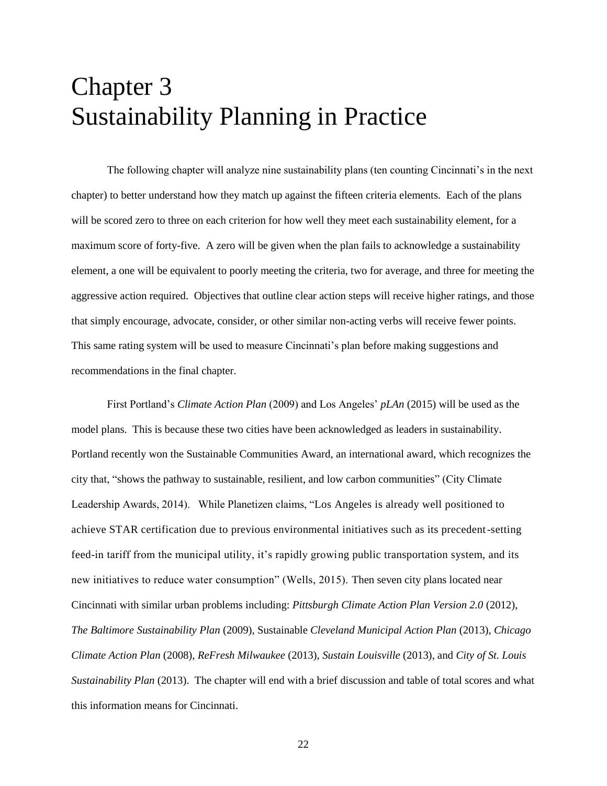# <span id="page-22-0"></span>Chapter 3 Sustainability Planning in Practice

The following chapter will analyze nine sustainability plans (ten counting Cincinnati's in the next chapter) to better understand how they match up against the fifteen criteria elements. Each of the plans will be scored zero to three on each criterion for how well they meet each sustainability element, for a maximum score of forty-five. A zero will be given when the plan fails to acknowledge a sustainability element, a one will be equivalent to poorly meeting the criteria, two for average, and three for meeting the aggressive action required. Objectives that outline clear action steps will receive higher ratings, and those that simply encourage, advocate, consider, or other similar non-acting verbs will receive fewer points. This same rating system will be used to measure Cincinnati's plan before making suggestions and recommendations in the final chapter.

First Portland's *Climate Action Plan* (2009) and Los Angeles' *pLAn* (2015) will be used as the model plans. This is because these two cities have been acknowledged as leaders in sustainability. Portland recently won the Sustainable Communities Award, an international award, which recognizes the city that, "shows the pathway to sustainable, resilient, and low carbon communities" (City Climate Leadership Awards, 2014). While Planetizen claims, "Los Angeles is already well positioned to achieve STAR certification due to previous environmental initiatives such as its precedent-setting feed-in tariff from the municipal utility, it's rapidly growing public transportation system, and its new initiatives to reduce water consumption" (Wells, 2015). Then seven city plans located near Cincinnati with similar urban problems including: *Pittsburgh Climate Action Plan Version 2.0* (2012), *The Baltimore Sustainability Plan* (2009), Sustainable *Cleveland Municipal Action Plan* (2013), *Chicago Climate Action Plan* (2008), *ReFresh Milwaukee* (2013), *Sustain Louisville* (2013), and *City of St. Louis Sustainability Plan* (2013). The chapter will end with a brief discussion and table of total scores and what this information means for Cincinnati.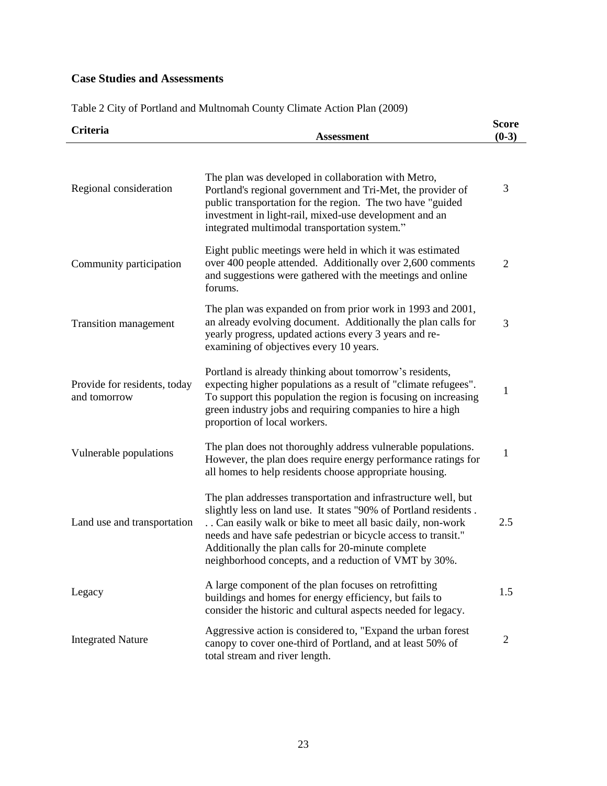### <span id="page-23-0"></span>**Case Studies and Assessments**

Table 2 City of Portland and Multnomah County Climate Action Plan (2009)

| Criteria                                     | Assessment                                                                                                                                                                                                                                                                                                                                                                      | <b>Score</b><br>$(0-3)$ |
|----------------------------------------------|---------------------------------------------------------------------------------------------------------------------------------------------------------------------------------------------------------------------------------------------------------------------------------------------------------------------------------------------------------------------------------|-------------------------|
| Regional consideration                       | The plan was developed in collaboration with Metro,<br>Portland's regional government and Tri-Met, the provider of<br>public transportation for the region. The two have "guided<br>investment in light-rail, mixed-use development and an<br>integrated multimodal transportation system."                                                                                     | 3                       |
| Community participation                      | Eight public meetings were held in which it was estimated<br>over 400 people attended. Additionally over 2,600 comments<br>and suggestions were gathered with the meetings and online<br>forums.                                                                                                                                                                                | $\overline{2}$          |
| Transition management                        | The plan was expanded on from prior work in 1993 and 2001,<br>an already evolving document. Additionally the plan calls for<br>yearly progress, updated actions every 3 years and re-<br>examining of objectives every 10 years.                                                                                                                                                | 3                       |
| Provide for residents, today<br>and tomorrow | Portland is already thinking about tomorrow's residents,<br>expecting higher populations as a result of "climate refugees".<br>To support this population the region is focusing on increasing<br>green industry jobs and requiring companies to hire a high<br>proportion of local workers.                                                                                    | 1                       |
| Vulnerable populations                       | The plan does not thoroughly address vulnerable populations.<br>However, the plan does require energy performance ratings for<br>all homes to help residents choose appropriate housing.                                                                                                                                                                                        | 1                       |
| Land use and transportation                  | The plan addresses transportation and infrastructure well, but<br>slightly less on land use. It states "90% of Portland residents.<br>Can easily walk or bike to meet all basic daily, non-work<br>needs and have safe pedestrian or bicycle access to transit."<br>Additionally the plan calls for 20-minute complete<br>neighborhood concepts, and a reduction of VMT by 30%. | 2.5                     |
| Legacy                                       | A large component of the plan focuses on retrofitting<br>buildings and homes for energy efficiency, but fails to<br>consider the historic and cultural aspects needed for legacy.                                                                                                                                                                                               | 1.5                     |
| <b>Integrated Nature</b>                     | Aggressive action is considered to, "Expand the urban forest<br>canopy to cover one-third of Portland, and at least 50% of<br>total stream and river length.                                                                                                                                                                                                                    | $\overline{2}$          |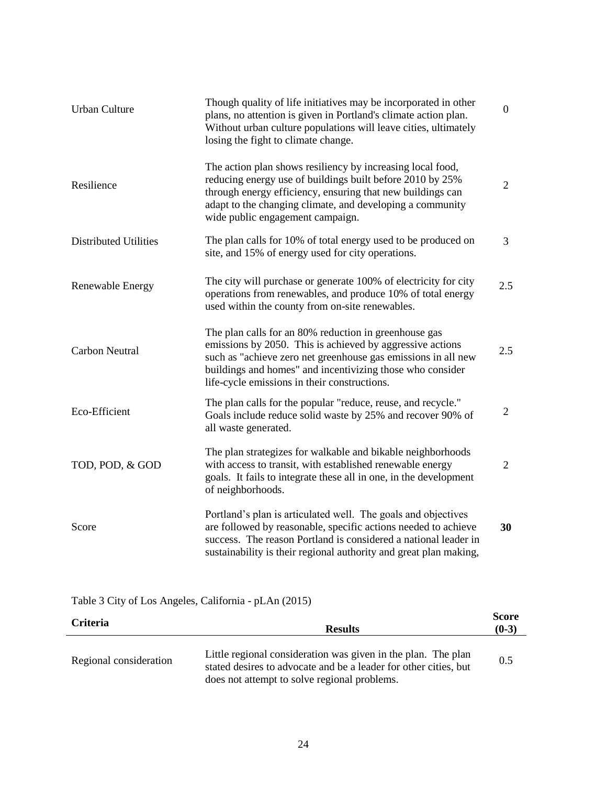| <b>Urban Culture</b>         | Though quality of life initiatives may be incorporated in other<br>plans, no attention is given in Portland's climate action plan.<br>Without urban culture populations will leave cities, ultimately<br>losing the fight to climate change.                                                     | $\overline{0}$ |
|------------------------------|--------------------------------------------------------------------------------------------------------------------------------------------------------------------------------------------------------------------------------------------------------------------------------------------------|----------------|
| Resilience                   | The action plan shows resiliency by increasing local food,<br>reducing energy use of buildings built before 2010 by 25%<br>through energy efficiency, ensuring that new buildings can<br>adapt to the changing climate, and developing a community<br>wide public engagement campaign.           | 2              |
| <b>Distributed Utilities</b> | The plan calls for 10% of total energy used to be produced on<br>site, and 15% of energy used for city operations.                                                                                                                                                                               | $\overline{3}$ |
| Renewable Energy             | The city will purchase or generate 100% of electricity for city<br>operations from renewables, and produce 10% of total energy<br>used within the county from on-site renewables.                                                                                                                | 2.5            |
| <b>Carbon Neutral</b>        | The plan calls for an 80% reduction in greenhouse gas<br>emissions by 2050. This is achieved by aggressive actions<br>such as "achieve zero net greenhouse gas emissions in all new<br>buildings and homes" and incentivizing those who consider<br>life-cycle emissions in their constructions. | 2.5            |
| Eco-Efficient                | The plan calls for the popular "reduce, reuse, and recycle."<br>Goals include reduce solid waste by 25% and recover 90% of<br>all waste generated.                                                                                                                                               | $\overline{2}$ |
| TOD, POD, & GOD              | The plan strategizes for walkable and bikable neighborhoods<br>with access to transit, with established renewable energy<br>goals. It fails to integrate these all in one, in the development<br>of neighborhoods.                                                                               | $\overline{2}$ |
| Score                        | Portland's plan is articulated well. The goals and objectives<br>are followed by reasonable, specific actions needed to achieve<br>success. The reason Portland is considered a national leader in<br>sustainability is their regional authority and great plan making,                          | 30             |

Table 3 City of Los Angeles, California - pLAn (2015)

| <b>Criteria</b>        | <b>Results</b>                                                                                                                                                                    | <b>Score</b><br>$(0-3)$ |
|------------------------|-----------------------------------------------------------------------------------------------------------------------------------------------------------------------------------|-------------------------|
| Regional consideration | Little regional consideration was given in the plan. The plan<br>stated desires to advocate and be a leader for other cities, but<br>does not attempt to solve regional problems. | 0.5                     |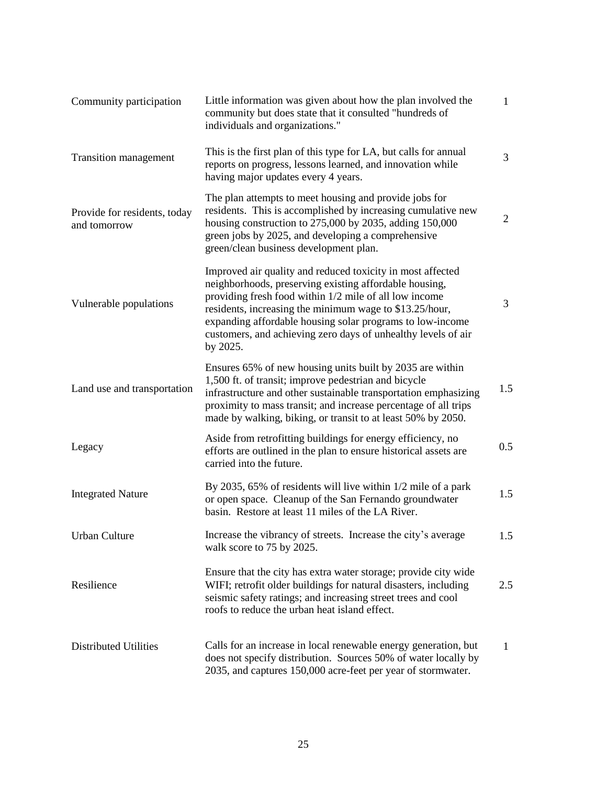| Community participation                      | Little information was given about how the plan involved the<br>community but does state that it consulted "hundreds of<br>individuals and organizations."                                                                                                                                                                                                                          | $\mathbf{1}$ |
|----------------------------------------------|-------------------------------------------------------------------------------------------------------------------------------------------------------------------------------------------------------------------------------------------------------------------------------------------------------------------------------------------------------------------------------------|--------------|
| <b>Transition management</b>                 | This is the first plan of this type for LA, but calls for annual<br>reports on progress, lessons learned, and innovation while<br>having major updates every 4 years.                                                                                                                                                                                                               | 3            |
| Provide for residents, today<br>and tomorrow | The plan attempts to meet housing and provide jobs for<br>residents. This is accomplished by increasing cumulative new<br>housing construction to 275,000 by 2035, adding 150,000<br>green jobs by 2025, and developing a comprehensive<br>green/clean business development plan.                                                                                                   | 2            |
| Vulnerable populations                       | Improved air quality and reduced toxicity in most affected<br>neighborhoods, preserving existing affordable housing,<br>providing fresh food within 1/2 mile of all low income<br>residents, increasing the minimum wage to \$13.25/hour,<br>expanding affordable housing solar programs to low-income<br>customers, and achieving zero days of unhealthy levels of air<br>by 2025. | 3            |
| Land use and transportation                  | Ensures 65% of new housing units built by 2035 are within<br>1,500 ft. of transit; improve pedestrian and bicycle<br>infrastructure and other sustainable transportation emphasizing<br>proximity to mass transit; and increase percentage of all trips<br>made by walking, biking, or transit to at least 50% by 2050.                                                             | 1.5          |
| Legacy                                       | Aside from retrofitting buildings for energy efficiency, no<br>efforts are outlined in the plan to ensure historical assets are<br>carried into the future.                                                                                                                                                                                                                         | 0.5          |
| <b>Integrated Nature</b>                     | By 2035, 65% of residents will live within 1/2 mile of a park<br>or open space. Cleanup of the San Fernando groundwater<br>basin. Restore at least 11 miles of the LA River.                                                                                                                                                                                                        | 1.5          |
| Urban Culture                                | Increase the vibrancy of streets. Increase the city's average<br>walk score to 75 by 2025.                                                                                                                                                                                                                                                                                          | 1.5          |
| Resilience                                   | Ensure that the city has extra water storage; provide city wide<br>WIFI; retrofit older buildings for natural disasters, including<br>seismic safety ratings; and increasing street trees and cool<br>roofs to reduce the urban heat island effect.                                                                                                                                 | 2.5          |
| <b>Distributed Utilities</b>                 | Calls for an increase in local renewable energy generation, but<br>does not specify distribution. Sources 50% of water locally by<br>2035, and captures 150,000 acre-feet per year of stormwater.                                                                                                                                                                                   | 1            |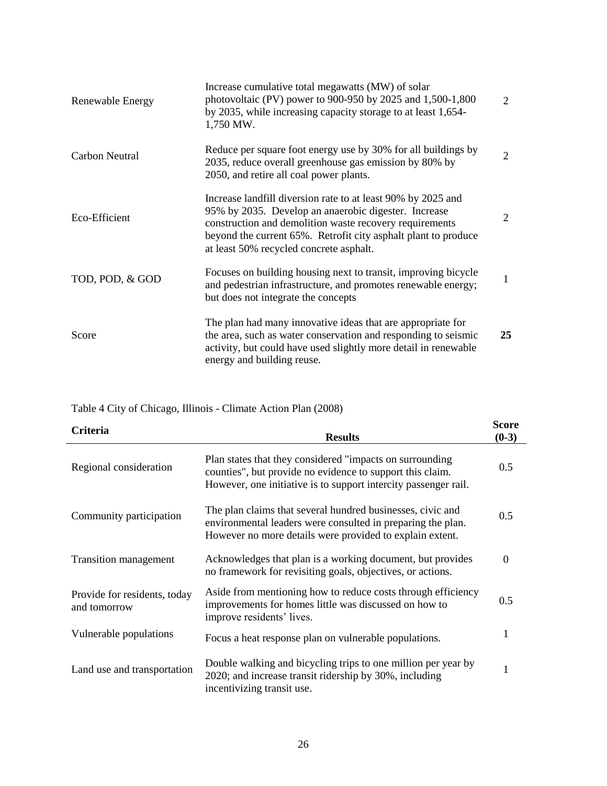| Renewable Energy | Increase cumulative total megawatts (MW) of solar<br>photovoltaic (PV) power to 900-950 by 2025 and 1,500-1,800<br>by 2035, while increasing capacity storage to at least 1,654-<br>1,750 MW.                                                                                                | 2  |
|------------------|----------------------------------------------------------------------------------------------------------------------------------------------------------------------------------------------------------------------------------------------------------------------------------------------|----|
| Carbon Neutral   | Reduce per square foot energy use by 30% for all buildings by<br>2035, reduce overall greenhouse gas emission by 80% by<br>2050, and retire all coal power plants.                                                                                                                           | 2  |
| Eco-Efficient    | Increase landfill diversion rate to at least 90% by 2025 and<br>95% by 2035. Develop an anaerobic digester. Increase<br>construction and demolition waste recovery requirements<br>beyond the current 65%. Retrofit city asphalt plant to produce<br>at least 50% recycled concrete asphalt. | 2  |
| TOD, POD, & GOD  | Focuses on building housing next to transit, improving bicycle<br>and pedestrian infrastructure, and promotes renewable energy;<br>but does not integrate the concepts                                                                                                                       | 1  |
| Score            | The plan had many innovative ideas that are appropriate for<br>the area, such as water conservation and responding to seismic<br>activity, but could have used slightly more detail in renewable<br>energy and building reuse.                                                               | 25 |

### Table 4 City of Chicago, Illinois - Climate Action Plan (2008)

| <b>Criteria</b>                              | <b>Results</b>                                                                                                                                                                           | <b>Score</b><br>$(0-3)$ |
|----------------------------------------------|------------------------------------------------------------------------------------------------------------------------------------------------------------------------------------------|-------------------------|
| Regional consideration                       | Plan states that they considered "impacts on surrounding<br>counties", but provide no evidence to support this claim.<br>However, one initiative is to support intercity passenger rail. | 0.5                     |
| Community participation                      | The plan claims that several hundred businesses, civic and<br>environmental leaders were consulted in preparing the plan.<br>However no more details were provided to explain extent.    | 0.5                     |
| <b>Transition management</b>                 | Acknowledges that plan is a working document, but provides<br>no framework for revisiting goals, objectives, or actions.                                                                 | $\Omega$                |
| Provide for residents, today<br>and tomorrow | Aside from mentioning how to reduce costs through efficiency<br>improvements for homes little was discussed on how to<br>improve residents' lives.                                       | 0.5                     |
| Vulnerable populations                       | Focus a heat response plan on vulnerable populations.                                                                                                                                    |                         |
| Land use and transportation                  | Double walking and bicycling trips to one million per year by<br>2020; and increase transit ridership by 30%, including<br>incentivizing transit use.                                    | 1                       |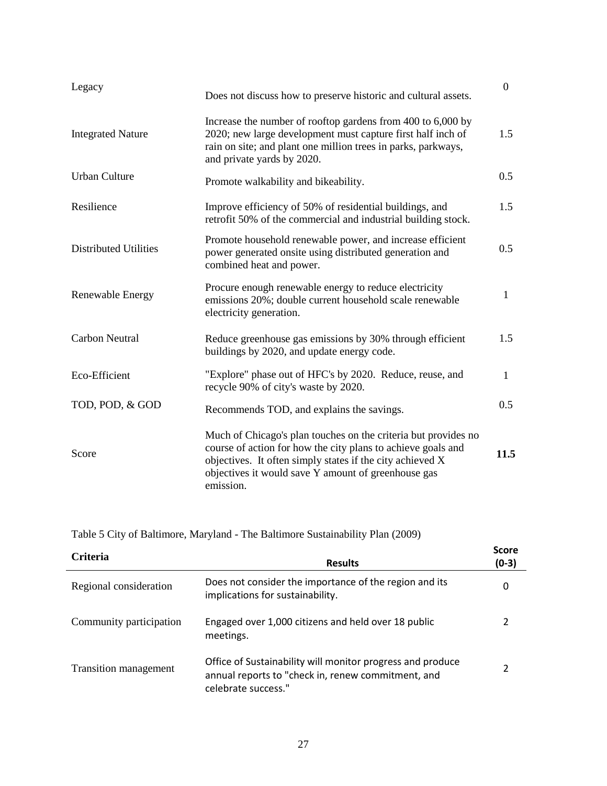| Legacy                       | Does not discuss how to preserve historic and cultural assets.                                                                                                                                                                                                  | $\mathbf{0}$ |
|------------------------------|-----------------------------------------------------------------------------------------------------------------------------------------------------------------------------------------------------------------------------------------------------------------|--------------|
| <b>Integrated Nature</b>     | Increase the number of rooftop gardens from 400 to 6,000 by<br>2020; new large development must capture first half inch of<br>rain on site; and plant one million trees in parks, parkways,<br>and private yards by 2020.                                       | 1.5          |
| <b>Urban Culture</b>         | Promote walkability and bikeability.                                                                                                                                                                                                                            | 0.5          |
| Resilience                   | Improve efficiency of 50% of residential buildings, and<br>retrofit 50% of the commercial and industrial building stock.                                                                                                                                        | 1.5          |
| <b>Distributed Utilities</b> | Promote household renewable power, and increase efficient<br>power generated onsite using distributed generation and<br>combined heat and power.                                                                                                                | 0.5          |
| <b>Renewable Energy</b>      | Procure enough renewable energy to reduce electricity<br>emissions 20%; double current household scale renewable<br>electricity generation.                                                                                                                     | 1            |
| <b>Carbon Neutral</b>        | Reduce greenhouse gas emissions by 30% through efficient<br>buildings by 2020, and update energy code.                                                                                                                                                          | 1.5          |
| Eco-Efficient                | "Explore" phase out of HFC's by 2020. Reduce, reuse, and<br>recycle 90% of city's waste by 2020.                                                                                                                                                                | 1            |
| TOD, POD, & GOD              | Recommends TOD, and explains the savings.                                                                                                                                                                                                                       | 0.5          |
| Score                        | Much of Chicago's plan touches on the criteria but provides no<br>course of action for how the city plans to achieve goals and<br>objectives. It often simply states if the city achieved X<br>objectives it would save Y amount of greenhouse gas<br>emission. | 11.5         |

Table 5 City of Baltimore, Maryland - The Baltimore Sustainability Plan (2009)

| <b>Criteria</b>              | <b>Results</b>                                                                                                                          | <b>Score</b><br>$(0-3)$ |
|------------------------------|-----------------------------------------------------------------------------------------------------------------------------------------|-------------------------|
| Regional consideration       | Does not consider the importance of the region and its<br>implications for sustainability.                                              | 0                       |
| Community participation      | Engaged over 1,000 citizens and held over 18 public<br>meetings.                                                                        |                         |
| <b>Transition management</b> | Office of Sustainability will monitor progress and produce<br>annual reports to "check in, renew commitment, and<br>celebrate success." |                         |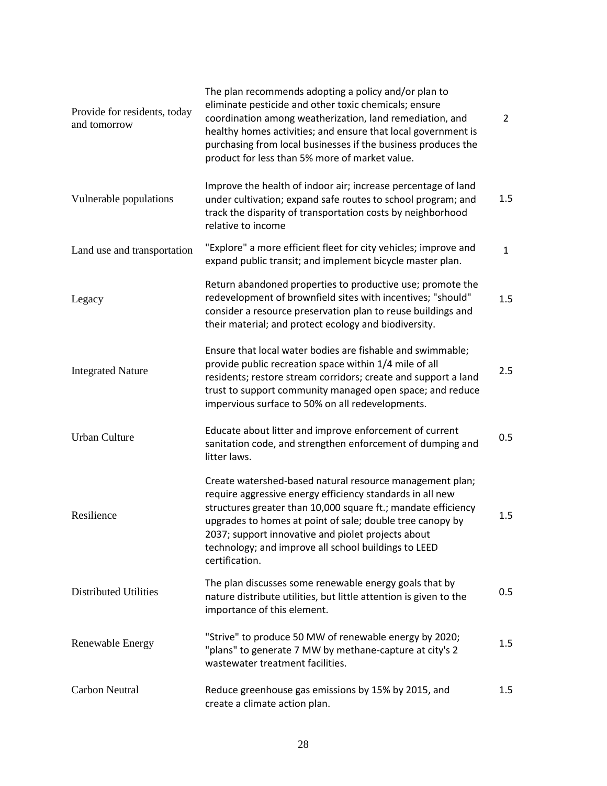| Provide for residents, today<br>and tomorrow | The plan recommends adopting a policy and/or plan to<br>eliminate pesticide and other toxic chemicals; ensure<br>coordination among weatherization, land remediation, and<br>healthy homes activities; and ensure that local government is<br>purchasing from local businesses if the business produces the<br>product for less than 5% more of market value.                       | $2^{\circ}$  |
|----------------------------------------------|-------------------------------------------------------------------------------------------------------------------------------------------------------------------------------------------------------------------------------------------------------------------------------------------------------------------------------------------------------------------------------------|--------------|
| Vulnerable populations                       | Improve the health of indoor air; increase percentage of land<br>under cultivation; expand safe routes to school program; and<br>track the disparity of transportation costs by neighborhood<br>relative to income                                                                                                                                                                  | 1.5          |
| Land use and transportation                  | "Explore" a more efficient fleet for city vehicles; improve and<br>expand public transit; and implement bicycle master plan.                                                                                                                                                                                                                                                        | $\mathbf{1}$ |
| Legacy                                       | Return abandoned properties to productive use; promote the<br>redevelopment of brownfield sites with incentives; "should"<br>consider a resource preservation plan to reuse buildings and<br>their material; and protect ecology and biodiversity.                                                                                                                                  | 1.5          |
| <b>Integrated Nature</b>                     | Ensure that local water bodies are fishable and swimmable;<br>provide public recreation space within 1/4 mile of all<br>residents; restore stream corridors; create and support a land<br>trust to support community managed open space; and reduce<br>impervious surface to 50% on all redevelopments.                                                                             | 2.5          |
| <b>Urban Culture</b>                         | Educate about litter and improve enforcement of current<br>sanitation code, and strengthen enforcement of dumping and<br>litter laws.                                                                                                                                                                                                                                               | 0.5          |
| Resilience                                   | Create watershed-based natural resource management plan;<br>require aggressive energy efficiency standards in all new<br>structures greater than 10,000 square ft.; mandate efficiency<br>upgrades to homes at point of sale; double tree canopy by<br>2037; support innovative and piolet projects about<br>technology; and improve all school buildings to LEED<br>certification. | 1.5          |
| <b>Distributed Utilities</b>                 | The plan discusses some renewable energy goals that by<br>nature distribute utilities, but little attention is given to the<br>importance of this element.                                                                                                                                                                                                                          | 0.5          |
| Renewable Energy                             | "Strive" to produce 50 MW of renewable energy by 2020;<br>"plans" to generate 7 MW by methane-capture at city's 2<br>wastewater treatment facilities.                                                                                                                                                                                                                               | 1.5          |
| <b>Carbon Neutral</b>                        | Reduce greenhouse gas emissions by 15% by 2015, and<br>create a climate action plan.                                                                                                                                                                                                                                                                                                | 1.5          |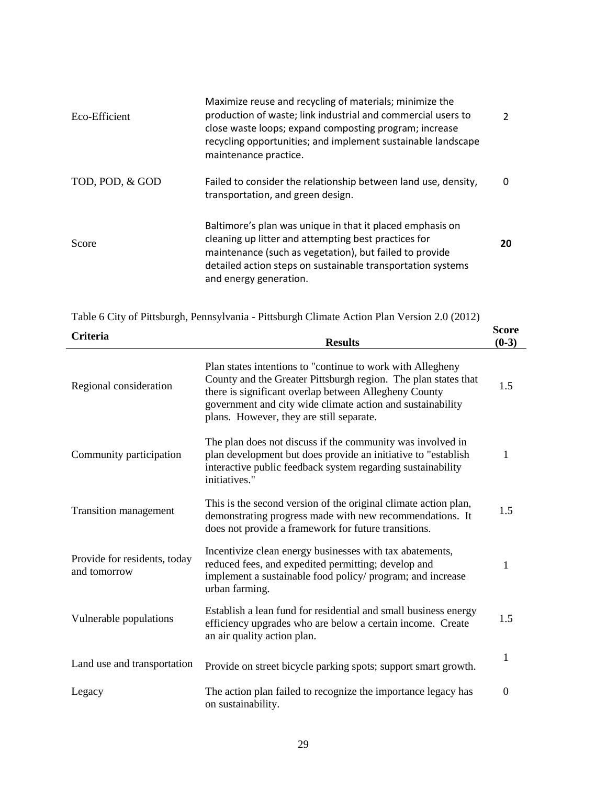| Eco-Efficient   | Maximize reuse and recycling of materials; minimize the<br>production of waste; link industrial and commercial users to<br>close waste loops; expand composting program; increase<br>recycling opportunities; and implement sustainable landscape<br>maintenance practice. | $\mathcal{P}$ |
|-----------------|----------------------------------------------------------------------------------------------------------------------------------------------------------------------------------------------------------------------------------------------------------------------------|---------------|
| TOD, POD, & GOD | Failed to consider the relationship between land use, density,<br>transportation, and green design.                                                                                                                                                                        | 0             |
| Score           | Baltimore's plan was unique in that it placed emphasis on<br>cleaning up litter and attempting best practices for<br>maintenance (such as vegetation), but failed to provide<br>detailed action steps on sustainable transportation systems<br>and energy generation.      | 20            |

Table 6 City of Pittsburgh, Pennsylvania - Pittsburgh Climate Action Plan Version 2.0 (2012)

| <b>Criteria</b>                              | <b>Results</b>                                                                                                                                                                                                                                                                                   | <b>Score</b><br>$(0-3)$ |
|----------------------------------------------|--------------------------------------------------------------------------------------------------------------------------------------------------------------------------------------------------------------------------------------------------------------------------------------------------|-------------------------|
| Regional consideration                       | Plan states intentions to "continue to work with Allegheny"<br>County and the Greater Pittsburgh region. The plan states that<br>there is significant overlap between Allegheny County<br>government and city wide climate action and sustainability<br>plans. However, they are still separate. | 1.5                     |
| Community participation                      | The plan does not discuss if the community was involved in<br>plan development but does provide an initiative to "establish<br>interactive public feedback system regarding sustainability<br>initiatives."                                                                                      | 1                       |
| Transition management                        | This is the second version of the original climate action plan,<br>demonstrating progress made with new recommendations. It<br>does not provide a framework for future transitions.                                                                                                              | 1.5                     |
| Provide for residents, today<br>and tomorrow | Incentivize clean energy businesses with tax abatements,<br>reduced fees, and expedited permitting; develop and<br>implement a sustainable food policy/ program; and increase<br>urban farming.                                                                                                  | 1                       |
| Vulnerable populations                       | Establish a lean fund for residential and small business energy<br>efficiency upgrades who are below a certain income. Create<br>an air quality action plan.                                                                                                                                     | 1.5                     |
| Land use and transportation                  | Provide on street bicycle parking spots; support smart growth.                                                                                                                                                                                                                                   | 1                       |
| Legacy                                       | The action plan failed to recognize the importance legacy has<br>on sustainability.                                                                                                                                                                                                              | $\boldsymbol{0}$        |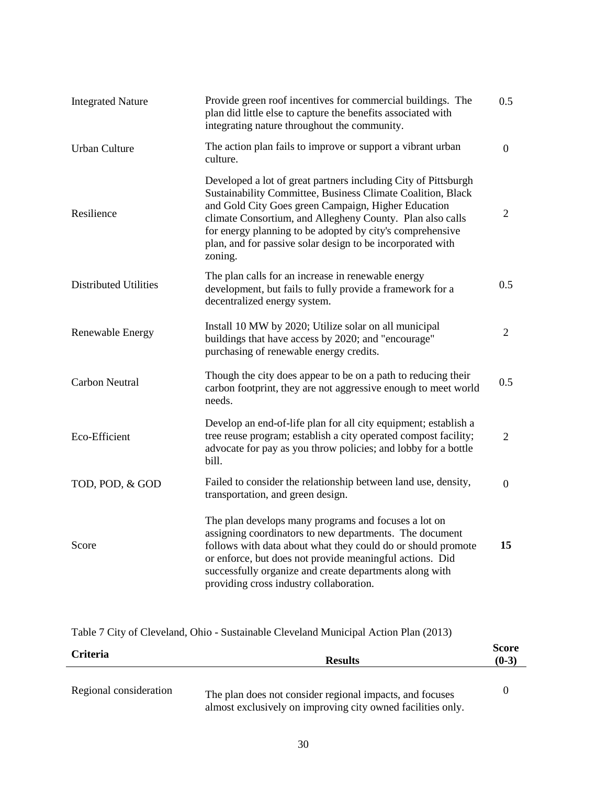| Regional consideration       | The plan does not consider regional impacts, and focuses                                                                                                                                                                                                                                                                                                                                | $\mathbf{0}$     |
|------------------------------|-----------------------------------------------------------------------------------------------------------------------------------------------------------------------------------------------------------------------------------------------------------------------------------------------------------------------------------------------------------------------------------------|------------------|
| Criteria                     | <b>Results</b>                                                                                                                                                                                                                                                                                                                                                                          | $(0-3)$          |
|                              | Table 7 City of Cleveland, Ohio - Sustainable Cleveland Municipal Action Plan (2013)                                                                                                                                                                                                                                                                                                    | <b>Score</b>     |
| Score                        | The plan develops many programs and focuses a lot on<br>assigning coordinators to new departments. The document<br>follows with data about what they could do or should promote<br>or enforce, but does not provide meaningful actions. Did<br>successfully organize and create departments along with<br>providing cross industry collaboration.                                       | 15               |
| TOD, POD, & GOD              | Failed to consider the relationship between land use, density,<br>transportation, and green design.                                                                                                                                                                                                                                                                                     | $\mathbf{0}$     |
| Eco-Efficient                | Develop an end-of-life plan for all city equipment; establish a<br>tree reuse program; establish a city operated compost facility;<br>advocate for pay as you throw policies; and lobby for a bottle<br>bill.                                                                                                                                                                           | $\mathbf{2}$     |
| <b>Carbon Neutral</b>        | Though the city does appear to be on a path to reducing their<br>carbon footprint, they are not aggressive enough to meet world<br>needs.                                                                                                                                                                                                                                               | 0.5              |
| Renewable Energy             | Install 10 MW by 2020; Utilize solar on all municipal<br>buildings that have access by 2020; and "encourage"<br>purchasing of renewable energy credits.                                                                                                                                                                                                                                 | $\overline{2}$   |
| <b>Distributed Utilities</b> | The plan calls for an increase in renewable energy<br>development, but fails to fully provide a framework for a<br>decentralized energy system.                                                                                                                                                                                                                                         | 0.5              |
| Resilience                   | Developed a lot of great partners including City of Pittsburgh<br>Sustainability Committee, Business Climate Coalition, Black<br>and Gold City Goes green Campaign, Higher Education<br>climate Consortium, and Allegheny County. Plan also calls<br>for energy planning to be adopted by city's comprehensive<br>plan, and for passive solar design to be incorporated with<br>zoning. | $\overline{2}$   |
| <b>Urban Culture</b>         | The action plan fails to improve or support a vibrant urban<br>culture.                                                                                                                                                                                                                                                                                                                 | $\boldsymbol{0}$ |
| <b>Integrated Nature</b>     | Provide green roof incentives for commercial buildings. The<br>plan did little else to capture the benefits associated with<br>integrating nature throughout the community.                                                                                                                                                                                                             | 0.5              |

almost exclusively on improving city owned facilities only.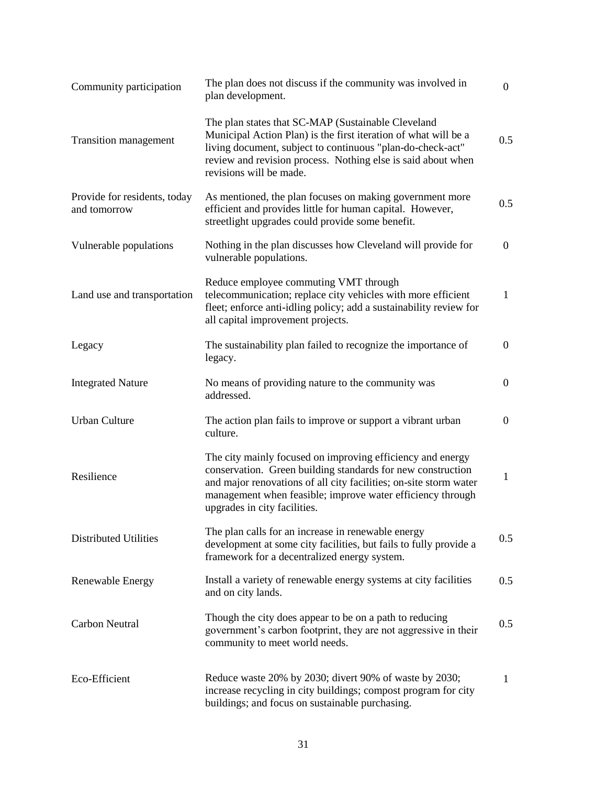| Community participation                      | The plan does not discuss if the community was involved in<br>plan development.                                                                                                                                                                                                              | $\overline{0}$ |
|----------------------------------------------|----------------------------------------------------------------------------------------------------------------------------------------------------------------------------------------------------------------------------------------------------------------------------------------------|----------------|
| Transition management                        | The plan states that SC-MAP (Sustainable Cleveland<br>Municipal Action Plan) is the first iteration of what will be a<br>living document, subject to continuous "plan-do-check-act"<br>review and revision process. Nothing else is said about when<br>revisions will be made.               | 0.5            |
| Provide for residents, today<br>and tomorrow | As mentioned, the plan focuses on making government more<br>efficient and provides little for human capital. However,<br>streetlight upgrades could provide some benefit.                                                                                                                    | 0.5            |
| Vulnerable populations                       | Nothing in the plan discusses how Cleveland will provide for<br>vulnerable populations.                                                                                                                                                                                                      | $\overline{0}$ |
| Land use and transportation                  | Reduce employee commuting VMT through<br>telecommunication; replace city vehicles with more efficient<br>fleet; enforce anti-idling policy; add a sustainability review for<br>all capital improvement projects.                                                                             | $\mathbf{1}$   |
| Legacy                                       | The sustainability plan failed to recognize the importance of<br>legacy.                                                                                                                                                                                                                     | $\mathbf{0}$   |
| <b>Integrated Nature</b>                     | No means of providing nature to the community was<br>addressed.                                                                                                                                                                                                                              | $\overline{0}$ |
| <b>Urban Culture</b>                         | The action plan fails to improve or support a vibrant urban<br>culture.                                                                                                                                                                                                                      | $\theta$       |
| Resilience                                   | The city mainly focused on improving efficiency and energy<br>conservation. Green building standards for new construction<br>and major renovations of all city facilities; on-site storm water<br>management when feasible; improve water efficiency through<br>upgrades in city facilities. | $\mathbf{1}$   |
| <b>Distributed Utilities</b>                 | The plan calls for an increase in renewable energy<br>development at some city facilities, but fails to fully provide a<br>framework for a decentralized energy system.                                                                                                                      | 0.5            |
| Renewable Energy                             | Install a variety of renewable energy systems at city facilities<br>and on city lands.                                                                                                                                                                                                       | 0.5            |
| Carbon Neutral                               | Though the city does appear to be on a path to reducing<br>government's carbon footprint, they are not aggressive in their<br>community to meet world needs.                                                                                                                                 | 0.5            |
| Eco-Efficient                                | Reduce waste 20% by 2030; divert 90% of waste by 2030;<br>increase recycling in city buildings; compost program for city<br>buildings; and focus on sustainable purchasing.                                                                                                                  | $\mathbf{1}$   |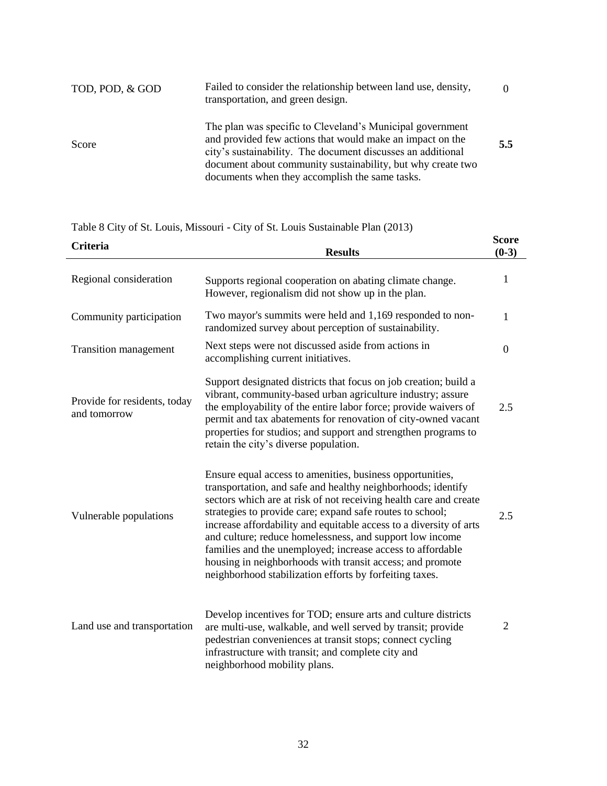| TOD, POD, & GOD | Failed to consider the relationship between land use, density,<br>transportation, and green design.                                                                                                                                                                                                    |     |
|-----------------|--------------------------------------------------------------------------------------------------------------------------------------------------------------------------------------------------------------------------------------------------------------------------------------------------------|-----|
| Score           | The plan was specific to Cleveland's Municipal government<br>and provided few actions that would make an impact on the<br>city's sustainability. The document discusses an additional<br>document about community sustainability, but why create two<br>documents when they accomplish the same tasks. | 5.5 |

Table 8 City of St. Louis, Missouri - City of St. Louis Sustainable Plan (2013)

| <b>Criteria</b>                              | <b>Results</b>                                                                                                                                                                                                                                                                                                                                                                                                                                                                                                                                                                      | <b>Score</b><br>$(0-3)$ |
|----------------------------------------------|-------------------------------------------------------------------------------------------------------------------------------------------------------------------------------------------------------------------------------------------------------------------------------------------------------------------------------------------------------------------------------------------------------------------------------------------------------------------------------------------------------------------------------------------------------------------------------------|-------------------------|
| Regional consideration                       | Supports regional cooperation on abating climate change.<br>However, regionalism did not show up in the plan.                                                                                                                                                                                                                                                                                                                                                                                                                                                                       | 1                       |
| Community participation                      | Two mayor's summits were held and 1,169 responded to non-<br>randomized survey about perception of sustainability.                                                                                                                                                                                                                                                                                                                                                                                                                                                                  | $\mathbf{1}$            |
| Transition management                        | Next steps were not discussed aside from actions in<br>accomplishing current initiatives.                                                                                                                                                                                                                                                                                                                                                                                                                                                                                           | $\boldsymbol{0}$        |
| Provide for residents, today<br>and tomorrow | Support designated districts that focus on job creation; build a<br>vibrant, community-based urban agriculture industry; assure<br>the employability of the entire labor force; provide waivers of<br>permit and tax abatements for renovation of city-owned vacant<br>properties for studios; and support and strengthen programs to<br>retain the city's diverse population.                                                                                                                                                                                                      | 2.5                     |
| Vulnerable populations                       | Ensure equal access to amenities, business opportunities,<br>transportation, and safe and healthy neighborhoods; identify<br>sectors which are at risk of not receiving health care and create<br>strategies to provide care; expand safe routes to school;<br>increase affordability and equitable access to a diversity of arts<br>and culture; reduce homelessness, and support low income<br>families and the unemployed; increase access to affordable<br>housing in neighborhoods with transit access; and promote<br>neighborhood stabilization efforts by forfeiting taxes. | 2.5                     |
| Land use and transportation                  | Develop incentives for TOD; ensure arts and culture districts<br>are multi-use, walkable, and well served by transit; provide<br>pedestrian conveniences at transit stops; connect cycling<br>infrastructure with transit; and complete city and<br>neighborhood mobility plans.                                                                                                                                                                                                                                                                                                    | $\overline{2}$          |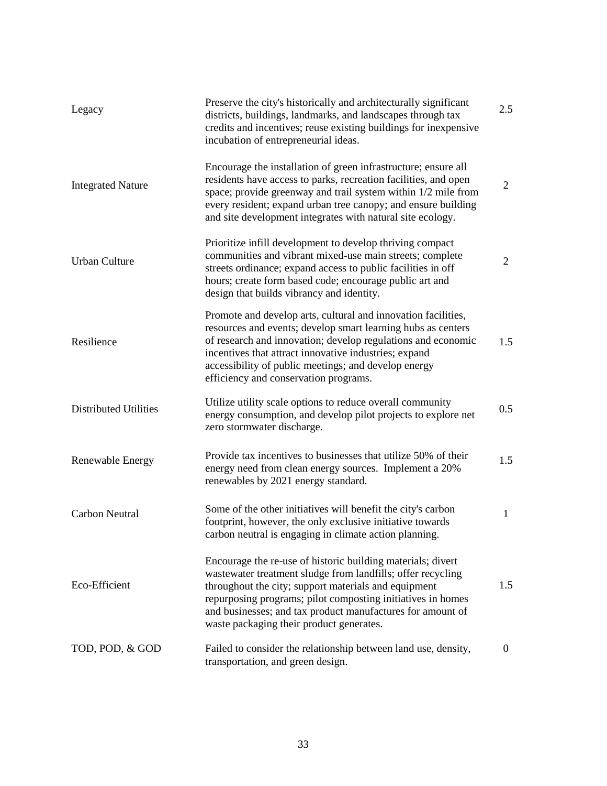| Legacy                       | Preserve the city's historically and architecturally significant<br>districts, buildings, landmarks, and landscapes through tax<br>credits and incentives; reuse existing buildings for inexpensive<br>incubation of entrepreneurial ideas.                                                                                                                 | 2.5            |
|------------------------------|-------------------------------------------------------------------------------------------------------------------------------------------------------------------------------------------------------------------------------------------------------------------------------------------------------------------------------------------------------------|----------------|
| <b>Integrated Nature</b>     | Encourage the installation of green infrastructure; ensure all<br>residents have access to parks, recreation facilities, and open<br>space; provide greenway and trail system within 1/2 mile from<br>every resident; expand urban tree canopy; and ensure building<br>and site development integrates with natural site ecology.                           | $\overline{2}$ |
| <b>Urban Culture</b>         | Prioritize infill development to develop thriving compact<br>communities and vibrant mixed-use main streets; complete<br>streets ordinance; expand access to public facilities in off<br>hours; create form based code; encourage public art and<br>design that builds vibrancy and identity.                                                               | $\overline{2}$ |
| Resilience                   | Promote and develop arts, cultural and innovation facilities,<br>resources and events; develop smart learning hubs as centers<br>of research and innovation; develop regulations and economic<br>incentives that attract innovative industries; expand<br>accessibility of public meetings; and develop energy<br>efficiency and conservation programs.     | 1.5            |
| <b>Distributed Utilities</b> | Utilize utility scale options to reduce overall community<br>energy consumption, and develop pilot projects to explore net<br>zero stormwater discharge.                                                                                                                                                                                                    | 0.5            |
| Renewable Energy             | Provide tax incentives to businesses that utilize 50% of their<br>energy need from clean energy sources. Implement a 20%<br>renewables by 2021 energy standard.                                                                                                                                                                                             | 1.5            |
| <b>Carbon Neutral</b>        | Some of the other initiatives will benefit the city's carbon<br>footprint, however, the only exclusive initiative towards<br>carbon neutral is engaging in climate action planning.                                                                                                                                                                         | $\mathbf{1}$   |
| Eco-Efficient                | Encourage the re-use of historic building materials; divert<br>wastewater treatment sludge from landfills; offer recycling<br>throughout the city; support materials and equipment<br>repurposing programs; pilot composting initiatives in homes<br>and businesses; and tax product manufactures for amount of<br>waste packaging their product generates. | 1.5            |
| TOD, POD, & GOD              | Failed to consider the relationship between land use, density,<br>transportation, and green design.                                                                                                                                                                                                                                                         | $\theta$       |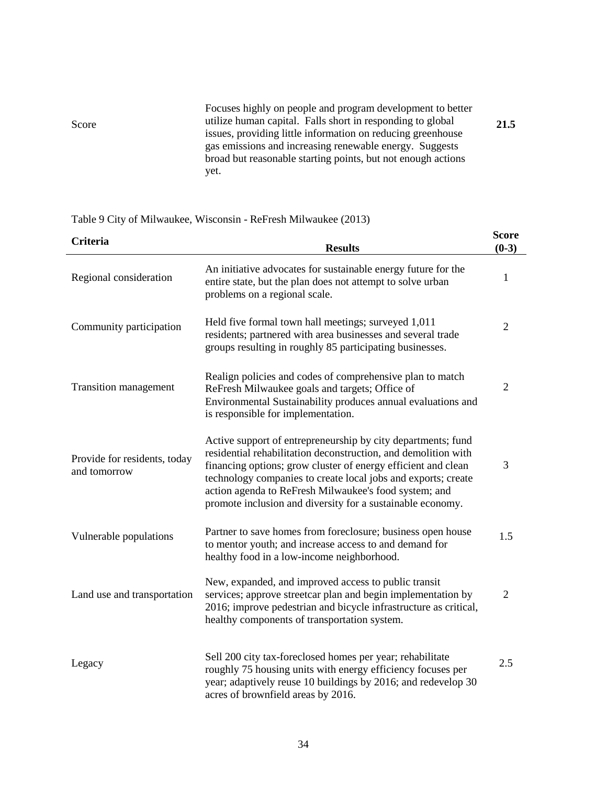| Score | Focuses highly on people and program development to better<br>utilize human capital. Falls short in responding to global<br>issues, providing little information on reducing greenhouse<br>gas emissions and increasing renewable energy. Suggests<br>broad but reasonable starting points, but not enough actions<br>yet. | 21.5 |
|-------|----------------------------------------------------------------------------------------------------------------------------------------------------------------------------------------------------------------------------------------------------------------------------------------------------------------------------|------|
|       |                                                                                                                                                                                                                                                                                                                            |      |

### Table 9 City of Milwaukee, Wisconsin - ReFresh Milwaukee (2013)

| <b>Criteria</b>                              | <b>Results</b>                                                                                                                                                                                                                                                                                                                                                                          | <b>Score</b><br>$(0-3)$ |
|----------------------------------------------|-----------------------------------------------------------------------------------------------------------------------------------------------------------------------------------------------------------------------------------------------------------------------------------------------------------------------------------------------------------------------------------------|-------------------------|
| Regional consideration                       | An initiative advocates for sustainable energy future for the<br>entire state, but the plan does not attempt to solve urban<br>problems on a regional scale.                                                                                                                                                                                                                            | 1                       |
| Community participation                      | Held five formal town hall meetings; surveyed 1,011<br>residents; partnered with area businesses and several trade<br>groups resulting in roughly 85 participating businesses.                                                                                                                                                                                                          | $\overline{2}$          |
| Transition management                        | Realign policies and codes of comprehensive plan to match<br>ReFresh Milwaukee goals and targets; Office of<br>Environmental Sustainability produces annual evaluations and<br>is responsible for implementation.                                                                                                                                                                       | $\overline{2}$          |
| Provide for residents, today<br>and tomorrow | Active support of entrepreneurship by city departments; fund<br>residential rehabilitation deconstruction, and demolition with<br>financing options; grow cluster of energy efficient and clean<br>technology companies to create local jobs and exports; create<br>action agenda to ReFresh Milwaukee's food system; and<br>promote inclusion and diversity for a sustainable economy. | 3                       |
| Vulnerable populations                       | Partner to save homes from foreclosure; business open house<br>to mentor youth; and increase access to and demand for<br>healthy food in a low-income neighborhood.                                                                                                                                                                                                                     | 1.5                     |
| Land use and transportation                  | New, expanded, and improved access to public transit<br>services; approve streetcar plan and begin implementation by<br>2016; improve pedestrian and bicycle infrastructure as critical,<br>healthy components of transportation system.                                                                                                                                                | $\overline{2}$          |
| Legacy                                       | Sell 200 city tax-foreclosed homes per year; rehabilitate<br>roughly 75 housing units with energy efficiency focuses per<br>year; adaptively reuse 10 buildings by 2016; and redevelop 30<br>acres of brownfield areas by 2016.                                                                                                                                                         | 2.5                     |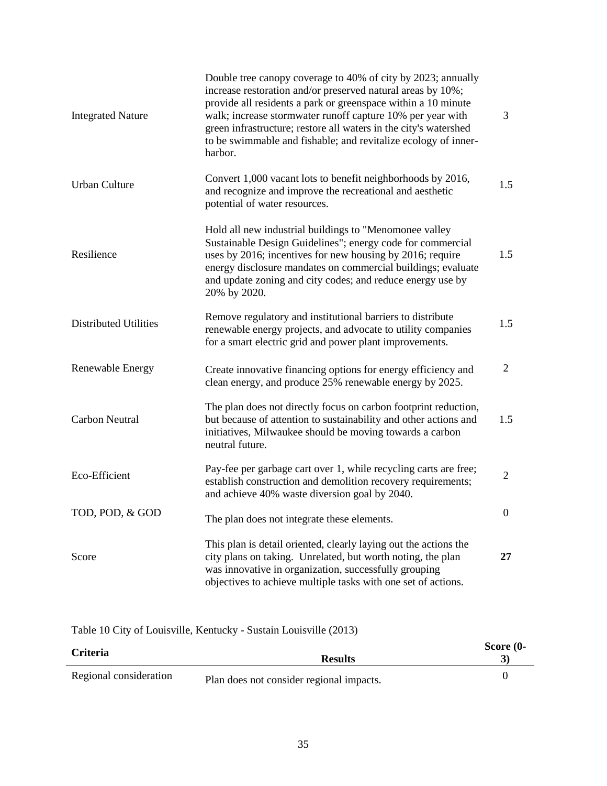| <b>Integrated Nature</b>     | Double tree canopy coverage to 40% of city by 2023; annually<br>increase restoration and/or preserved natural areas by 10%;<br>provide all residents a park or greenspace within a 10 minute<br>walk; increase stormwater runoff capture 10% per year with<br>green infrastructure; restore all waters in the city's watershed<br>to be swimmable and fishable; and revitalize ecology of inner-<br>harbor. | $\mathfrak{Z}$   |
|------------------------------|-------------------------------------------------------------------------------------------------------------------------------------------------------------------------------------------------------------------------------------------------------------------------------------------------------------------------------------------------------------------------------------------------------------|------------------|
| <b>Urban Culture</b>         | Convert 1,000 vacant lots to benefit neighborhoods by 2016,<br>and recognize and improve the recreational and aesthetic<br>potential of water resources.                                                                                                                                                                                                                                                    | 1.5              |
| Resilience                   | Hold all new industrial buildings to "Menomonee valley<br>Sustainable Design Guidelines"; energy code for commercial<br>uses by 2016; incentives for new housing by 2016; require<br>energy disclosure mandates on commercial buildings; evaluate<br>and update zoning and city codes; and reduce energy use by<br>20% by 2020.                                                                             | 1.5              |
| <b>Distributed Utilities</b> | Remove regulatory and institutional barriers to distribute<br>renewable energy projects, and advocate to utility companies<br>for a smart electric grid and power plant improvements.                                                                                                                                                                                                                       | 1.5              |
| Renewable Energy             | Create innovative financing options for energy efficiency and<br>clean energy, and produce 25% renewable energy by 2025.                                                                                                                                                                                                                                                                                    | $\overline{2}$   |
| Carbon Neutral               | The plan does not directly focus on carbon footprint reduction,<br>but because of attention to sustainability and other actions and<br>initiatives, Milwaukee should be moving towards a carbon<br>neutral future.                                                                                                                                                                                          | 1.5              |
| Eco-Efficient                | Pay-fee per garbage cart over 1, while recycling carts are free;<br>establish construction and demolition recovery requirements;<br>and achieve 40% waste diversion goal by 2040.                                                                                                                                                                                                                           | $\overline{2}$   |
| TOD, POD, & GOD              | The plan does not integrate these elements.                                                                                                                                                                                                                                                                                                                                                                 | $\boldsymbol{0}$ |
| Score                        | This plan is detail oriented, clearly laying out the actions the<br>city plans on taking. Unrelated, but worth noting, the plan<br>was innovative in organization, successfully grouping<br>objectives to achieve multiple tasks with one set of actions.                                                                                                                                                   | $27\,$           |

Table 10 City of Louisville, Kentucky - Sustain Louisville (2013)

| <b>Criteria</b>        | <b>Results</b>                           | Score $(0-$ |
|------------------------|------------------------------------------|-------------|
| Regional consideration | Plan does not consider regional impacts. |             |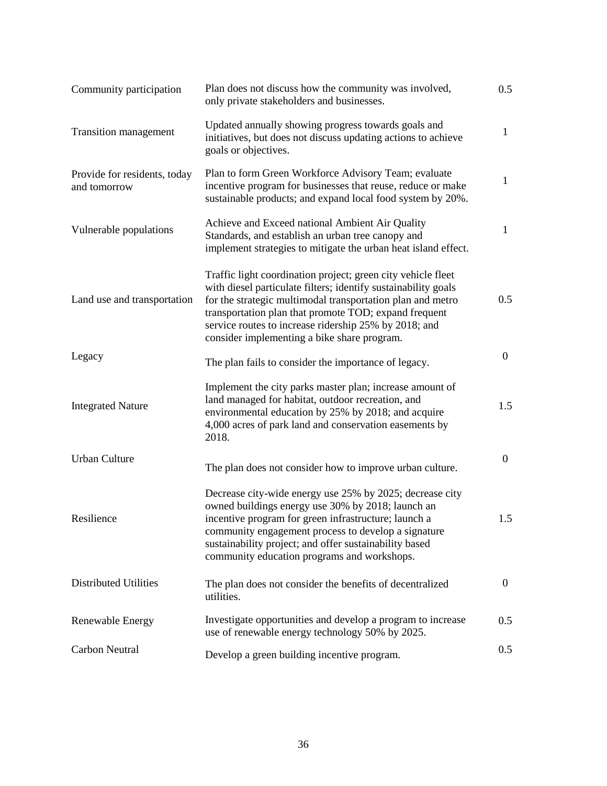| Community participation                      | Plan does not discuss how the community was involved,<br>only private stakeholders and businesses.                                                                                                                                                                                                                                                            | 0.5            |
|----------------------------------------------|---------------------------------------------------------------------------------------------------------------------------------------------------------------------------------------------------------------------------------------------------------------------------------------------------------------------------------------------------------------|----------------|
| Transition management                        | Updated annually showing progress towards goals and<br>initiatives, but does not discuss updating actions to achieve<br>goals or objectives.                                                                                                                                                                                                                  | $\mathbf{1}$   |
| Provide for residents, today<br>and tomorrow | Plan to form Green Workforce Advisory Team; evaluate<br>incentive program for businesses that reuse, reduce or make<br>sustainable products; and expand local food system by 20%.                                                                                                                                                                             | $\mathbf{1}$   |
| Vulnerable populations                       | Achieve and Exceed national Ambient Air Quality<br>Standards, and establish an urban tree canopy and<br>implement strategies to mitigate the urban heat island effect.                                                                                                                                                                                        | $\mathbf{1}$   |
| Land use and transportation                  | Traffic light coordination project; green city vehicle fleet<br>with diesel particulate filters; identify sustainability goals<br>for the strategic multimodal transportation plan and metro<br>transportation plan that promote TOD; expand frequent<br>service routes to increase ridership 25% by 2018; and<br>consider implementing a bike share program. | 0.5            |
| Legacy                                       | The plan fails to consider the importance of legacy.                                                                                                                                                                                                                                                                                                          | $\overline{0}$ |
| <b>Integrated Nature</b>                     | Implement the city parks master plan; increase amount of<br>land managed for habitat, outdoor recreation, and<br>environmental education by 25% by 2018; and acquire<br>4,000 acres of park land and conservation easements by<br>2018.                                                                                                                       | 1.5            |
| <b>Urban Culture</b>                         | The plan does not consider how to improve urban culture.                                                                                                                                                                                                                                                                                                      | $\overline{0}$ |
| Resilience                                   | Decrease city-wide energy use 25% by 2025; decrease city<br>owned buildings energy use 30% by 2018; launch an<br>incentive program for green infrastructure; launch a<br>community engagement process to develop a signature<br>sustainability project; and offer sustainability based<br>community education programs and workshops.                         | 1.5            |
| <b>Distributed Utilities</b>                 | The plan does not consider the benefits of decentralized<br>utilities.                                                                                                                                                                                                                                                                                        | $\overline{0}$ |
| Renewable Energy                             | Investigate opportunities and develop a program to increase<br>use of renewable energy technology 50% by 2025.                                                                                                                                                                                                                                                | 0.5            |
| <b>Carbon Neutral</b>                        | Develop a green building incentive program.                                                                                                                                                                                                                                                                                                                   | 0.5            |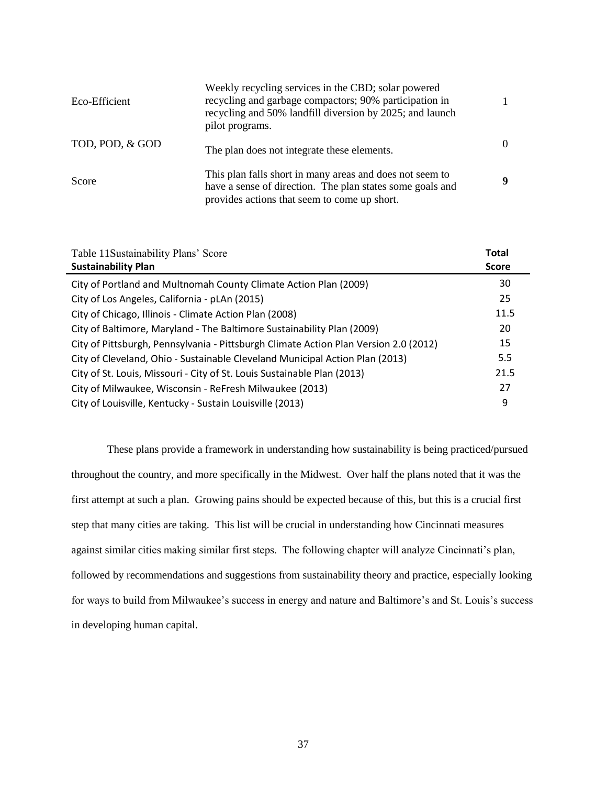| Eco-Efficient   | Weekly recycling services in the CBD; solar powered<br>recycling and garbage compactors; 90% participation in<br>recycling and 50% landfill diversion by 2025; and launch<br>pilot programs. |          |  |  |  |
|-----------------|----------------------------------------------------------------------------------------------------------------------------------------------------------------------------------------------|----------|--|--|--|
| TOD, POD, & GOD | The plan does not integrate these elements.                                                                                                                                                  | $\Omega$ |  |  |  |
| Score           | This plan falls short in many areas and does not seem to<br>have a sense of direction. The plan states some goals and<br>provides actions that seem to come up short.                        | 9        |  |  |  |

| Table 11Sustainability Plans' Score<br><b>Sustainability Plan</b>                    | <b>Total</b><br><b>Score</b> |
|--------------------------------------------------------------------------------------|------------------------------|
| City of Portland and Multnomah County Climate Action Plan (2009)                     | 30                           |
| City of Los Angeles, California - pLAn (2015)                                        | 25                           |
| City of Chicago, Illinois - Climate Action Plan (2008)                               | 11.5                         |
| City of Baltimore, Maryland - The Baltimore Sustainability Plan (2009)               | 20                           |
| City of Pittsburgh, Pennsylvania - Pittsburgh Climate Action Plan Version 2.0 (2012) | 15                           |
| City of Cleveland, Ohio - Sustainable Cleveland Municipal Action Plan (2013)         | 5.5                          |
| City of St. Louis, Missouri - City of St. Louis Sustainable Plan (2013)              | 21.5                         |
| City of Milwaukee, Wisconsin - ReFresh Milwaukee (2013)                              | 27                           |
| City of Louisville, Kentucky - Sustain Louisville (2013)                             | 9                            |

These plans provide a framework in understanding how sustainability is being practiced/pursued throughout the country, and more specifically in the Midwest. Over half the plans noted that it was the first attempt at such a plan. Growing pains should be expected because of this, but this is a crucial first step that many cities are taking. This list will be crucial in understanding how Cincinnati measures against similar cities making similar first steps. The following chapter will analyze Cincinnati's plan, followed by recommendations and suggestions from sustainability theory and practice, especially looking for ways to build from Milwaukee's success in energy and nature and Baltimore's and St. Louis's success in developing human capital.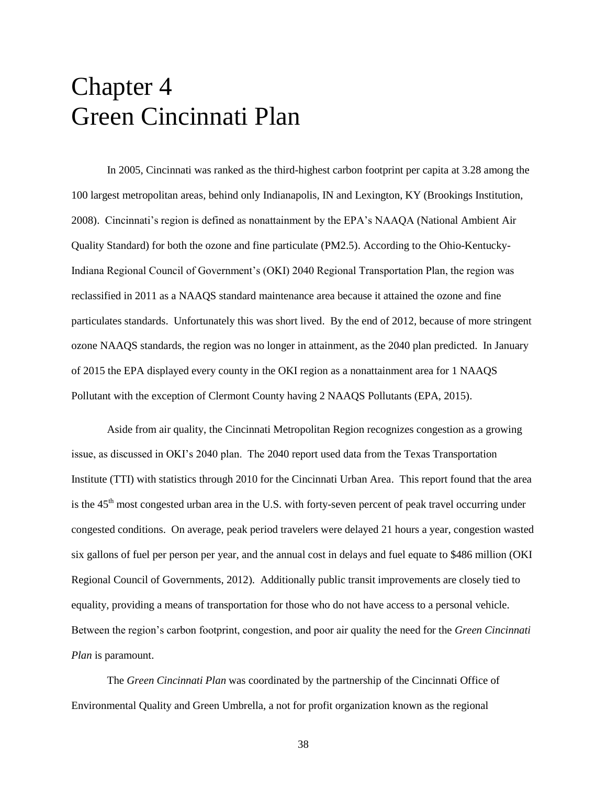## <span id="page-38-0"></span>Chapter 4 Green Cincinnati Plan

In 2005, Cincinnati was ranked as the third-highest carbon footprint per capita at 3.28 among the 100 largest metropolitan areas, behind only Indianapolis, IN and Lexington, KY (Brookings Institution, 2008). Cincinnati's region is defined as nonattainment by the EPA's NAAQA (National Ambient Air Quality Standard) for both the ozone and fine particulate (PM2.5). According to the Ohio-Kentucky-Indiana Regional Council of Government's (OKI) 2040 Regional Transportation Plan, the region was reclassified in 2011 as a NAAQS standard maintenance area because it attained the ozone and fine particulates standards. Unfortunately this was short lived. By the end of 2012, because of more stringent ozone NAAQS standards, the region was no longer in attainment, as the 2040 plan predicted. In January of 2015 the EPA displayed every county in the OKI region as a nonattainment area for 1 NAAQS Pollutant with the exception of Clermont County having 2 NAAQS Pollutants (EPA, 2015).

Aside from air quality, the Cincinnati Metropolitan Region recognizes congestion as a growing issue, as discussed in OKI's 2040 plan. The 2040 report used data from the Texas Transportation Institute (TTI) with statistics through 2010 for the Cincinnati Urban Area. This report found that the area is the  $45<sup>th</sup>$  most congested urban area in the U.S. with forty-seven percent of peak travel occurring under congested conditions. On average, peak period travelers were delayed 21 hours a year, congestion wasted six gallons of fuel per person per year, and the annual cost in delays and fuel equate to \$486 million (OKI Regional Council of Governments, 2012). Additionally public transit improvements are closely tied to equality, providing a means of transportation for those who do not have access to a personal vehicle. Between the region's carbon footprint, congestion, and poor air quality the need for the *Green Cincinnati Plan* is paramount.

The *Green Cincinnati Plan* was coordinated by the partnership of the Cincinnati Office of Environmental Quality and Green Umbrella, a not for profit organization known as the regional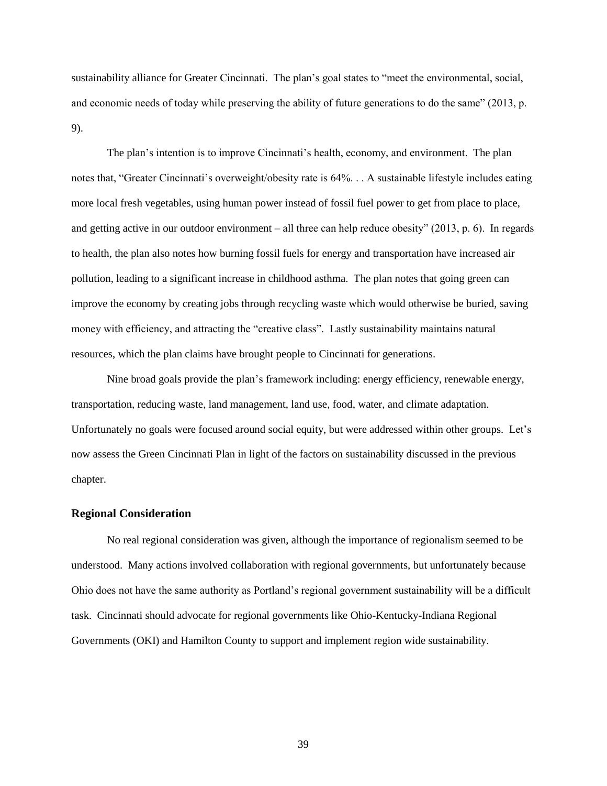sustainability alliance for Greater Cincinnati. The plan's goal states to "meet the environmental, social, and economic needs of today while preserving the ability of future generations to do the same" (2013, p. 9).

The plan's intention is to improve Cincinnati's health, economy, and environment. The plan notes that, "Greater Cincinnati's overweight/obesity rate is 64%. . . A sustainable lifestyle includes eating more local fresh vegetables, using human power instead of fossil fuel power to get from place to place, and getting active in our outdoor environment – all three can help reduce obesity" (2013, p. 6). In regards to health, the plan also notes how burning fossil fuels for energy and transportation have increased air pollution, leading to a significant increase in childhood asthma. The plan notes that going green can improve the economy by creating jobs through recycling waste which would otherwise be buried, saving money with efficiency, and attracting the "creative class". Lastly sustainability maintains natural resources, which the plan claims have brought people to Cincinnati for generations.

Nine broad goals provide the plan's framework including: energy efficiency, renewable energy, transportation, reducing waste, land management, land use, food, water, and climate adaptation. Unfortunately no goals were focused around social equity, but were addressed within other groups. Let's now assess the Green Cincinnati Plan in light of the factors on sustainability discussed in the previous chapter.

#### <span id="page-39-0"></span>**Regional Consideration**

No real regional consideration was given, although the importance of regionalism seemed to be understood. Many actions involved collaboration with regional governments, but unfortunately because Ohio does not have the same authority as Portland's regional government sustainability will be a difficult task. Cincinnati should advocate for regional governments like Ohio-Kentucky-Indiana Regional Governments (OKI) and Hamilton County to support and implement region wide sustainability.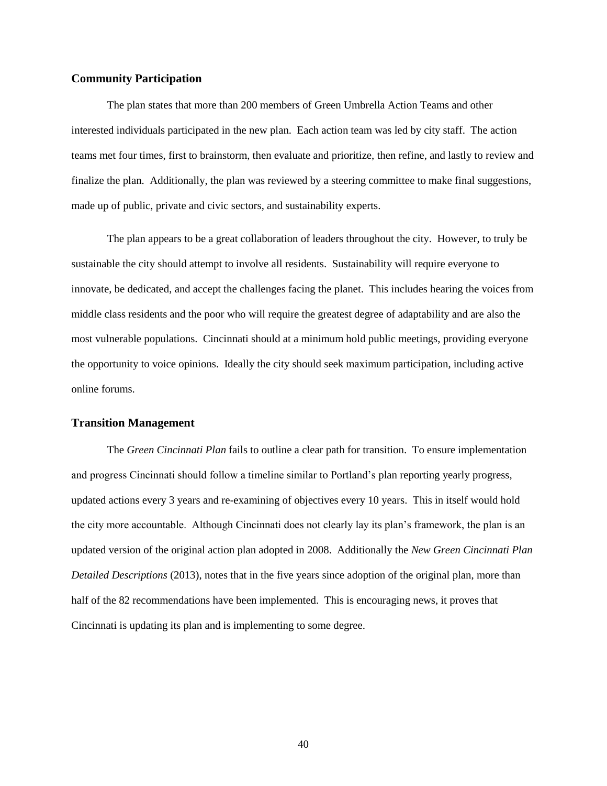#### <span id="page-40-0"></span>**Community Participation**

The plan states that more than 200 members of Green Umbrella Action Teams and other interested individuals participated in the new plan. Each action team was led by city staff. The action teams met four times, first to brainstorm, then evaluate and prioritize, then refine, and lastly to review and finalize the plan. Additionally, the plan was reviewed by a steering committee to make final suggestions, made up of public, private and civic sectors, and sustainability experts.

The plan appears to be a great collaboration of leaders throughout the city. However, to truly be sustainable the city should attempt to involve all residents. Sustainability will require everyone to innovate, be dedicated, and accept the challenges facing the planet. This includes hearing the voices from middle class residents and the poor who will require the greatest degree of adaptability and are also the most vulnerable populations. Cincinnati should at a minimum hold public meetings, providing everyone the opportunity to voice opinions. Ideally the city should seek maximum participation, including active online forums.

#### <span id="page-40-1"></span>**Transition Management**

The *Green Cincinnati Plan* fails to outline a clear path for transition. To ensure implementation and progress Cincinnati should follow a timeline similar to Portland's plan reporting yearly progress, updated actions every 3 years and re-examining of objectives every 10 years. This in itself would hold the city more accountable. Although Cincinnati does not clearly lay its plan's framework, the plan is an updated version of the original action plan adopted in 2008. Additionally the *New Green Cincinnati Plan Detailed Descriptions* (2013), notes that in the five years since adoption of the original plan, more than half of the 82 recommendations have been implemented. This is encouraging news, it proves that Cincinnati is updating its plan and is implementing to some degree.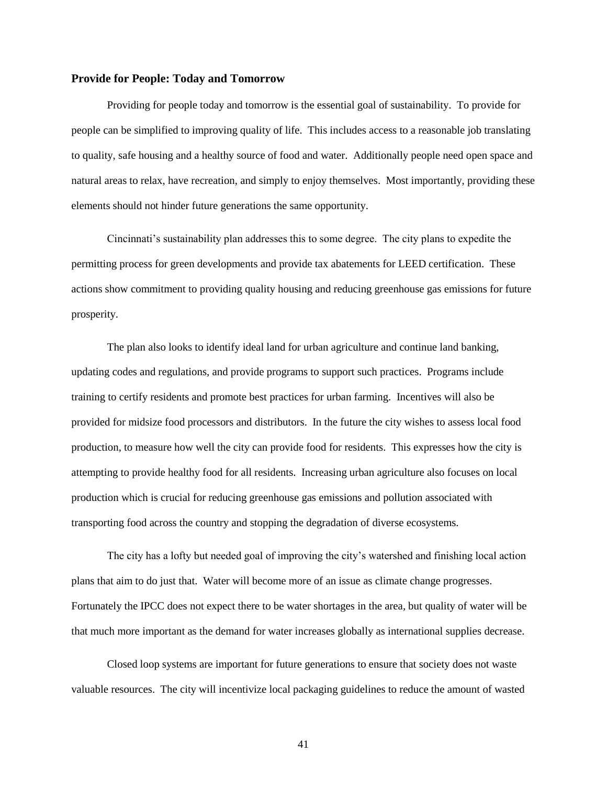#### <span id="page-41-0"></span>**Provide for People: Today and Tomorrow**

Providing for people today and tomorrow is the essential goal of sustainability. To provide for people can be simplified to improving quality of life. This includes access to a reasonable job translating to quality, safe housing and a healthy source of food and water. Additionally people need open space and natural areas to relax, have recreation, and simply to enjoy themselves. Most importantly, providing these elements should not hinder future generations the same opportunity.

Cincinnati's sustainability plan addresses this to some degree. The city plans to expedite the permitting process for green developments and provide tax abatements for LEED certification. These actions show commitment to providing quality housing and reducing greenhouse gas emissions for future prosperity.

The plan also looks to identify ideal land for urban agriculture and continue land banking, updating codes and regulations, and provide programs to support such practices. Programs include training to certify residents and promote best practices for urban farming. Incentives will also be provided for midsize food processors and distributors. In the future the city wishes to assess local food production, to measure how well the city can provide food for residents. This expresses how the city is attempting to provide healthy food for all residents. Increasing urban agriculture also focuses on local production which is crucial for reducing greenhouse gas emissions and pollution associated with transporting food across the country and stopping the degradation of diverse ecosystems.

The city has a lofty but needed goal of improving the city's watershed and finishing local action plans that aim to do just that. Water will become more of an issue as climate change progresses. Fortunately the IPCC does not expect there to be water shortages in the area, but quality of water will be that much more important as the demand for water increases globally as international supplies decrease.

Closed loop systems are important for future generations to ensure that society does not waste valuable resources. The city will incentivize local packaging guidelines to reduce the amount of wasted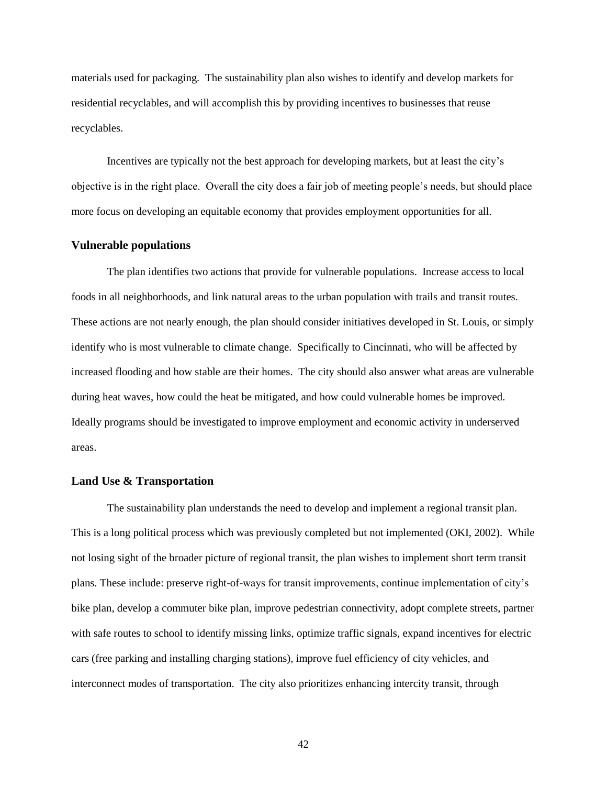materials used for packaging. The sustainability plan also wishes to identify and develop markets for residential recyclables, and will accomplish this by providing incentives to businesses that reuse recyclables.

Incentives are typically not the best approach for developing markets, but at least the city's objective is in the right place. Overall the city does a fair job of meeting people's needs, but should place more focus on developing an equitable economy that provides employment opportunities for all.

#### <span id="page-42-0"></span>**Vulnerable populations**

The plan identifies two actions that provide for vulnerable populations. Increase access to local foods in all neighborhoods, and link natural areas to the urban population with trails and transit routes. These actions are not nearly enough, the plan should consider initiatives developed in St. Louis, or simply identify who is most vulnerable to climate change. Specifically to Cincinnati, who will be affected by increased flooding and how stable are their homes. The city should also answer what areas are vulnerable during heat waves, how could the heat be mitigated, and how could vulnerable homes be improved. Ideally programs should be investigated to improve employment and economic activity in underserved areas.

#### <span id="page-42-1"></span>**Land Use & Transportation**

The sustainability plan understands the need to develop and implement a regional transit plan. This is a long political process which was previously completed but not implemented (OKI, 2002). While not losing sight of the broader picture of regional transit, the plan wishes to implement short term transit plans. These include: preserve right-of-ways for transit improvements, continue implementation of city's bike plan, develop a commuter bike plan, improve pedestrian connectivity, adopt complete streets, partner with safe routes to school to identify missing links, optimize traffic signals, expand incentives for electric cars (free parking and installing charging stations), improve fuel efficiency of city vehicles, and interconnect modes of transportation. The city also prioritizes enhancing intercity transit, through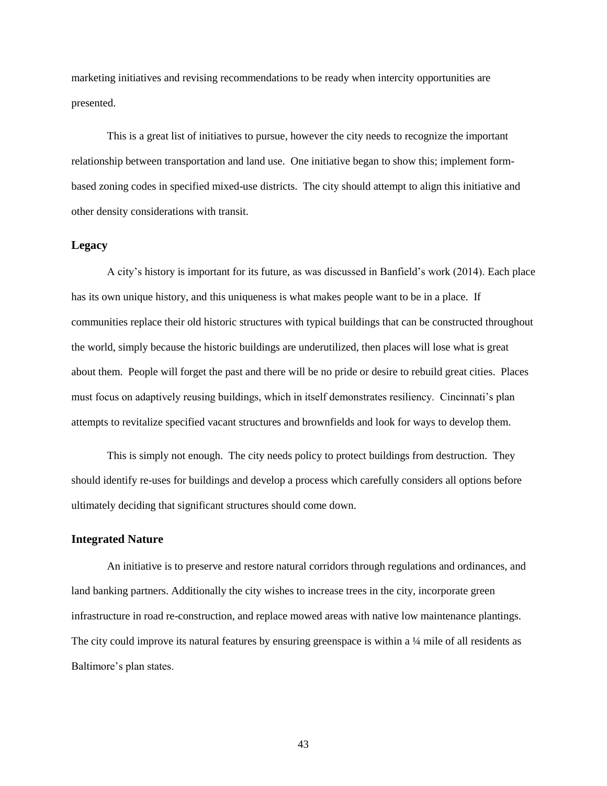marketing initiatives and revising recommendations to be ready when intercity opportunities are presented.

This is a great list of initiatives to pursue, however the city needs to recognize the important relationship between transportation and land use. One initiative began to show this; implement formbased zoning codes in specified mixed-use districts. The city should attempt to align this initiative and other density considerations with transit.

#### <span id="page-43-0"></span>**Legacy**

A city's history is important for its future, as was discussed in Banfield's work (2014). Each place has its own unique history, and this uniqueness is what makes people want to be in a place. If communities replace their old historic structures with typical buildings that can be constructed throughout the world, simply because the historic buildings are underutilized, then places will lose what is great about them. People will forget the past and there will be no pride or desire to rebuild great cities. Places must focus on adaptively reusing buildings, which in itself demonstrates resiliency. Cincinnati's plan attempts to revitalize specified vacant structures and brownfields and look for ways to develop them.

This is simply not enough. The city needs policy to protect buildings from destruction. They should identify re-uses for buildings and develop a process which carefully considers all options before ultimately deciding that significant structures should come down.

#### <span id="page-43-1"></span>**Integrated Nature**

An initiative is to preserve and restore natural corridors through regulations and ordinances, and land banking partners. Additionally the city wishes to increase trees in the city, incorporate green infrastructure in road re-construction, and replace mowed areas with native low maintenance plantings. The city could improve its natural features by ensuring greenspace is within a ¼ mile of all residents as Baltimore's plan states.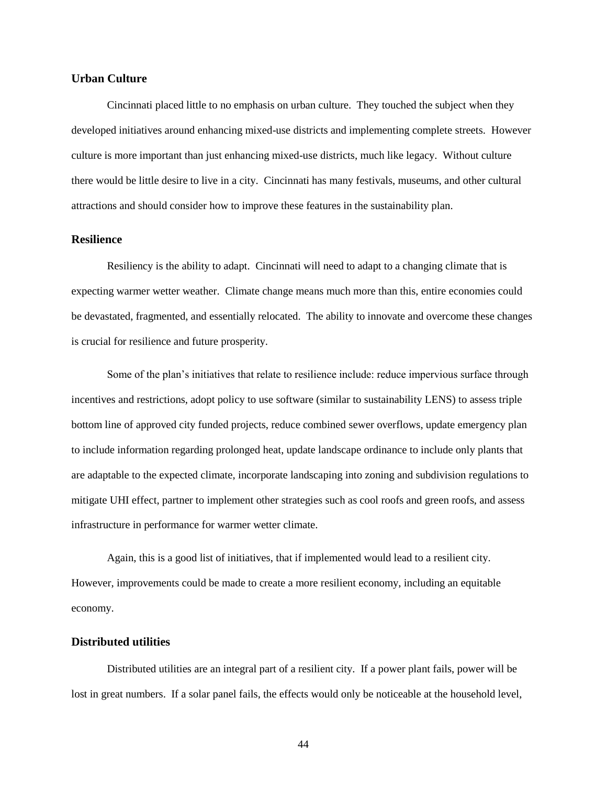#### <span id="page-44-0"></span>**Urban Culture**

Cincinnati placed little to no emphasis on urban culture. They touched the subject when they developed initiatives around enhancing mixed-use districts and implementing complete streets. However culture is more important than just enhancing mixed-use districts, much like legacy. Without culture there would be little desire to live in a city. Cincinnati has many festivals, museums, and other cultural attractions and should consider how to improve these features in the sustainability plan.

#### <span id="page-44-1"></span>**Resilience**

Resiliency is the ability to adapt. Cincinnati will need to adapt to a changing climate that is expecting warmer wetter weather. Climate change means much more than this, entire economies could be devastated, fragmented, and essentially relocated. The ability to innovate and overcome these changes is crucial for resilience and future prosperity.

Some of the plan's initiatives that relate to resilience include: reduce impervious surface through incentives and restrictions, adopt policy to use software (similar to sustainability LENS) to assess triple bottom line of approved city funded projects, reduce combined sewer overflows, update emergency plan to include information regarding prolonged heat, update landscape ordinance to include only plants that are adaptable to the expected climate, incorporate landscaping into zoning and subdivision regulations to mitigate UHI effect, partner to implement other strategies such as cool roofs and green roofs, and assess infrastructure in performance for warmer wetter climate.

Again, this is a good list of initiatives, that if implemented would lead to a resilient city. However, improvements could be made to create a more resilient economy, including an equitable economy.

#### <span id="page-44-2"></span>**Distributed utilities**

Distributed utilities are an integral part of a resilient city. If a power plant fails, power will be lost in great numbers. If a solar panel fails, the effects would only be noticeable at the household level,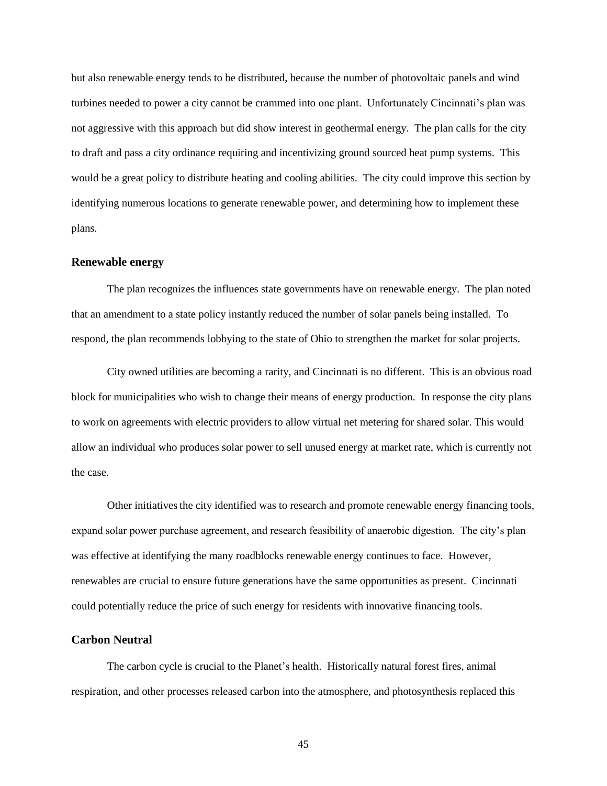but also renewable energy tends to be distributed, because the number of photovoltaic panels and wind turbines needed to power a city cannot be crammed into one plant. Unfortunately Cincinnati's plan was not aggressive with this approach but did show interest in geothermal energy. The plan calls for the city to draft and pass a city ordinance requiring and incentivizing ground sourced heat pump systems. This would be a great policy to distribute heating and cooling abilities. The city could improve this section by identifying numerous locations to generate renewable power, and determining how to implement these plans.

#### <span id="page-45-0"></span>**Renewable energy**

The plan recognizes the influences state governments have on renewable energy. The plan noted that an amendment to a state policy instantly reduced the number of solar panels being installed. To respond, the plan recommends lobbying to the state of Ohio to strengthen the market for solar projects.

City owned utilities are becoming a rarity, and Cincinnati is no different. This is an obvious road block for municipalities who wish to change their means of energy production. In response the city plans to work on agreements with electric providers to allow virtual net metering for shared solar. This would allow an individual who produces solar power to sell unused energy at market rate, which is currently not the case.

Other initiatives the city identified was to research and promote renewable energy financing tools, expand solar power purchase agreement, and research feasibility of anaerobic digestion. The city's plan was effective at identifying the many roadblocks renewable energy continues to face. However, renewables are crucial to ensure future generations have the same opportunities as present. Cincinnati could potentially reduce the price of such energy for residents with innovative financing tools.

#### <span id="page-45-1"></span>**Carbon Neutral**

The carbon cycle is crucial to the Planet's health. Historically natural forest fires, animal respiration, and other processes released carbon into the atmosphere, and photosynthesis replaced this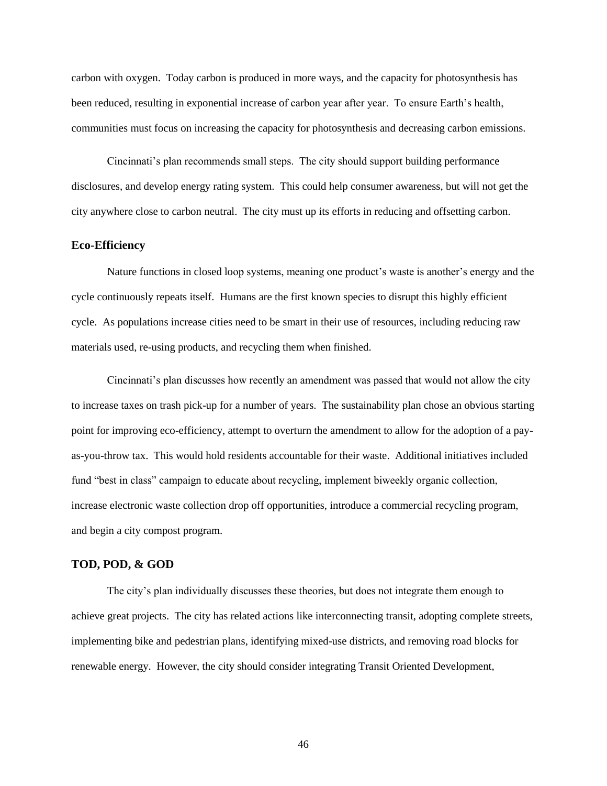carbon with oxygen. Today carbon is produced in more ways, and the capacity for photosynthesis has been reduced, resulting in exponential increase of carbon year after year. To ensure Earth's health, communities must focus on increasing the capacity for photosynthesis and decreasing carbon emissions.

Cincinnati's plan recommends small steps. The city should support building performance disclosures, and develop energy rating system. This could help consumer awareness, but will not get the city anywhere close to carbon neutral. The city must up its efforts in reducing and offsetting carbon.

#### <span id="page-46-0"></span>**Eco-Efficiency**

Nature functions in closed loop systems, meaning one product's waste is another's energy and the cycle continuously repeats itself. Humans are the first known species to disrupt this highly efficient cycle. As populations increase cities need to be smart in their use of resources, including reducing raw materials used, re-using products, and recycling them when finished.

Cincinnati's plan discusses how recently an amendment was passed that would not allow the city to increase taxes on trash pick-up for a number of years. The sustainability plan chose an obvious starting point for improving eco-efficiency, attempt to overturn the amendment to allow for the adoption of a payas-you-throw tax. This would hold residents accountable for their waste. Additional initiatives included fund "best in class" campaign to educate about recycling, implement biweekly organic collection, increase electronic waste collection drop off opportunities, introduce a commercial recycling program, and begin a city compost program.

#### <span id="page-46-1"></span>**TOD, POD, & GOD**

The city's plan individually discusses these theories, but does not integrate them enough to achieve great projects. The city has related actions like interconnecting transit, adopting complete streets, implementing bike and pedestrian plans, identifying mixed-use districts, and removing road blocks for renewable energy. However, the city should consider integrating Transit Oriented Development,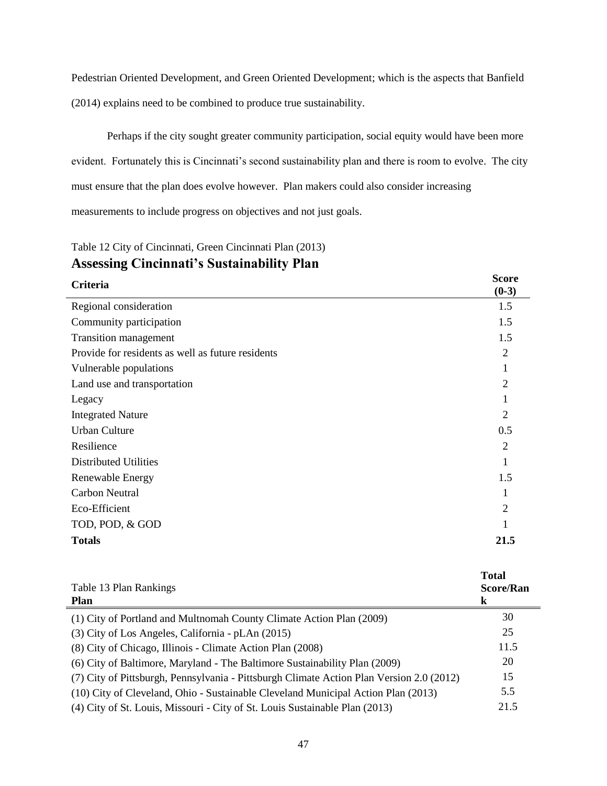Pedestrian Oriented Development, and Green Oriented Development; which is the aspects that Banfield (2014) explains need to be combined to produce true sustainability.

Perhaps if the city sought greater community participation, social equity would have been more evident. Fortunately this is Cincinnati's second sustainability plan and there is room to evolve. The city must ensure that the plan does evolve however. Plan makers could also consider increasing measurements to include progress on objectives and not just goals.

### Table 12 City of Cincinnati, Green Cincinnati Plan (2013) **Assessing Cincinnati's Sustainability Plan**

| Criteria                                          | <b>Score</b><br>$(0-3)$ |
|---------------------------------------------------|-------------------------|
| Regional consideration                            | 1.5                     |
| Community participation                           | 1.5                     |
| Transition management                             | 1.5                     |
| Provide for residents as well as future residents | $\overline{2}$          |
| Vulnerable populations                            | 1                       |
| Land use and transportation                       | $\overline{2}$          |
| Legacy                                            |                         |
| <b>Integrated Nature</b>                          | $\overline{2}$          |
| <b>Urban Culture</b>                              | 0.5                     |
| Resilience                                        | $\overline{2}$          |
| <b>Distributed Utilities</b>                      | 1                       |
| Renewable Energy                                  | 1.5                     |
| <b>Carbon Neutral</b>                             | 1                       |
| Eco-Efficient                                     | $\overline{2}$          |
| TOD, POD, & GOD                                   |                         |
| <b>Totals</b>                                     | 21.5                    |

| Table 13 Plan Rankings<br><b>Plan</b>                                                    | <b>Total</b><br><b>Score/Ran</b><br>k |
|------------------------------------------------------------------------------------------|---------------------------------------|
| (1) City of Portland and Multnomah County Climate Action Plan (2009)                     | 30                                    |
| $(3)$ City of Los Angeles, California - pLAn $(2015)$                                    | 25                                    |
| (8) City of Chicago, Illinois - Climate Action Plan (2008)                               | 11.5                                  |
| (6) City of Baltimore, Maryland - The Baltimore Sustainability Plan (2009)               | 20                                    |
| (7) City of Pittsburgh, Pennsylvania - Pittsburgh Climate Action Plan Version 2.0 (2012) | 15                                    |
| (10) City of Cleveland, Ohio - Sustainable Cleveland Municipal Action Plan (2013)        | 5.5                                   |
| (4) City of St. Louis, Missouri - City of St. Louis Sustainable Plan (2013)              | 21.5                                  |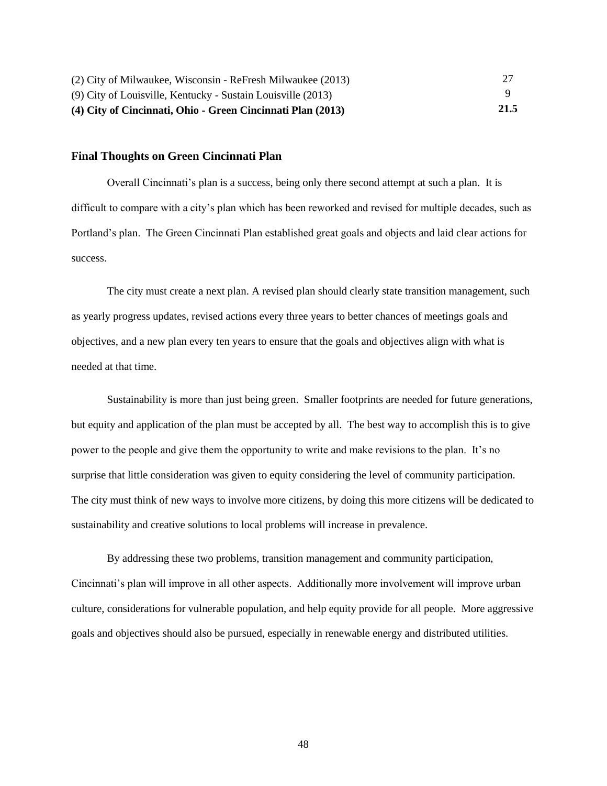| (4) City of Cincinnati, Ohio - Green Cincinnati Plan (2013)  | 21.5 |
|--------------------------------------------------------------|------|
| (9) City of Louisville, Kentucky - Sustain Louisville (2013) |      |
| (2) City of Milwaukee, Wisconsin - ReFresh Milwaukee (2013)  |      |

#### <span id="page-48-0"></span>**Final Thoughts on Green Cincinnati Plan**

Overall Cincinnati's plan is a success, being only there second attempt at such a plan. It is difficult to compare with a city's plan which has been reworked and revised for multiple decades, such as Portland's plan. The Green Cincinnati Plan established great goals and objects and laid clear actions for success.

The city must create a next plan. A revised plan should clearly state transition management, such as yearly progress updates, revised actions every three years to better chances of meetings goals and objectives, and a new plan every ten years to ensure that the goals and objectives align with what is needed at that time.

Sustainability is more than just being green. Smaller footprints are needed for future generations, but equity and application of the plan must be accepted by all. The best way to accomplish this is to give power to the people and give them the opportunity to write and make revisions to the plan. It's no surprise that little consideration was given to equity considering the level of community participation. The city must think of new ways to involve more citizens, by doing this more citizens will be dedicated to sustainability and creative solutions to local problems will increase in prevalence.

By addressing these two problems, transition management and community participation, Cincinnati's plan will improve in all other aspects. Additionally more involvement will improve urban culture, considerations for vulnerable population, and help equity provide for all people. More aggressive goals and objectives should also be pursued, especially in renewable energy and distributed utilities.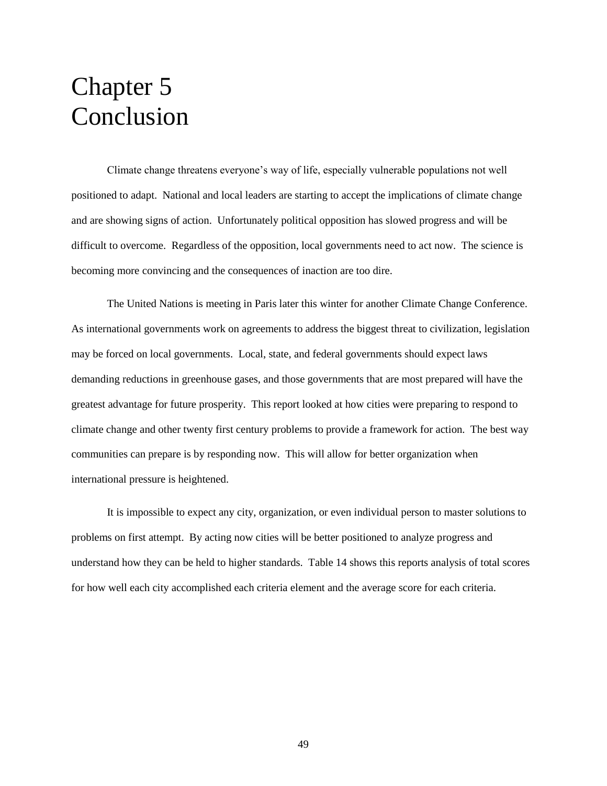## <span id="page-49-0"></span>Chapter 5 Conclusion

Climate change threatens everyone's way of life, especially vulnerable populations not well positioned to adapt. National and local leaders are starting to accept the implications of climate change and are showing signs of action. Unfortunately political opposition has slowed progress and will be difficult to overcome. Regardless of the opposition, local governments need to act now. The science is becoming more convincing and the consequences of inaction are too dire.

The United Nations is meeting in Paris later this winter for another Climate Change Conference. As international governments work on agreements to address the biggest threat to civilization, legislation may be forced on local governments. Local, state, and federal governments should expect laws demanding reductions in greenhouse gases, and those governments that are most prepared will have the greatest advantage for future prosperity. This report looked at how cities were preparing to respond to climate change and other twenty first century problems to provide a framework for action. The best way communities can prepare is by responding now. This will allow for better organization when international pressure is heightened.

It is impossible to expect any city, organization, or even individual person to master solutions to problems on first attempt. By acting now cities will be better positioned to analyze progress and understand how they can be held to higher standards. Table 14 shows this reports analysis of total scores for how well each city accomplished each criteria element and the average score for each criteria.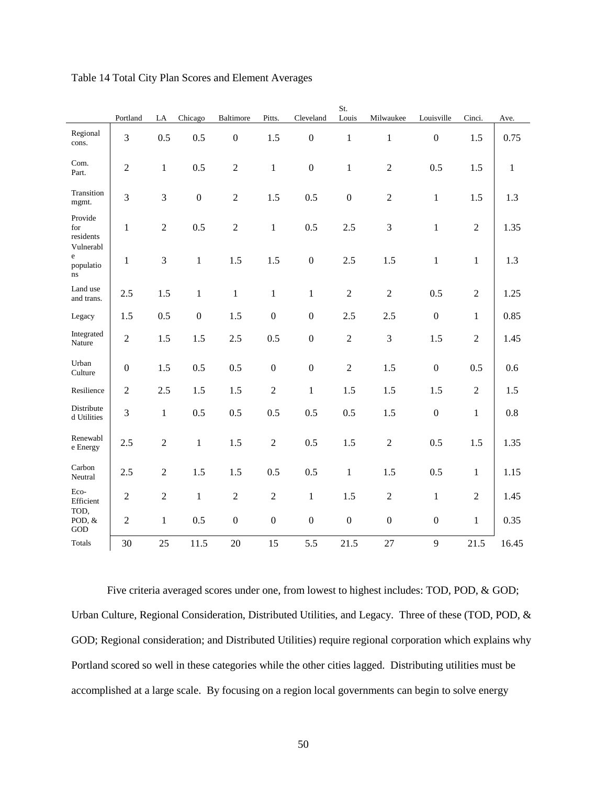|                                          | Portland         | LA             | Chicago          | <b>Baltimore</b> | Pitts.           | Cleveland        | St.<br>Louis     | Milwaukee        | Louisville       | Cinci.         | Ave.         |
|------------------------------------------|------------------|----------------|------------------|------------------|------------------|------------------|------------------|------------------|------------------|----------------|--------------|
| Regional<br>cons.                        | $\overline{3}$   | 0.5            | 0.5              | $\mathbf{0}$     | 1.5              | $\overline{0}$   | $\mathbf{1}$     | $\mathbf{1}$     | $\mathbf{0}$     | 1.5            | 0.75         |
| Com.<br>Part.                            | $\overline{2}$   | $\mathbf{1}$   | 0.5              | $\overline{2}$   | $\mathbf{1}$     | $\boldsymbol{0}$ | $\mathbf{1}$     | $\overline{2}$   | 0.5              | 1.5            | $\mathbf{1}$ |
| Transition<br>mgmt.                      | $\overline{3}$   | 3              | $\overline{0}$   | $\overline{c}$   | 1.5              | 0.5              | $\boldsymbol{0}$ | $\overline{2}$   | $\mathbf{1}$     | 1.5            | 1.3          |
| Provide<br>for<br>residents<br>Vulnerabl | $\mathbf 1$      | $\overline{c}$ | 0.5              | $\sqrt{2}$       | $\mathbf{1}$     | 0.5              | 2.5              | 3                | $\mathbf{1}$     | $\overline{2}$ | 1.35         |
| e<br>populatio<br>ns                     | $\mathbf{1}$     | 3              | $\,1$            | 1.5              | 1.5              | $\boldsymbol{0}$ | 2.5              | 1.5              | $\mathbf{1}$     | $\mathbf{1}$   | 1.3          |
| Land use<br>and trans.                   | 2.5              | 1.5            | $\mathbf{1}$     | $\mathbf{1}$     | $\mathbf{1}$     | $\mathbf{1}$     | $\overline{2}$   | $\overline{2}$   | 0.5              | $\overline{2}$ | 1.25         |
| Legacy                                   | 1.5              | 0.5            | $\boldsymbol{0}$ | 1.5              | $\boldsymbol{0}$ | $\boldsymbol{0}$ | 2.5              | 2.5              | $\boldsymbol{0}$ | $\mathbf{1}$   | 0.85         |
| Integrated<br>Nature                     | $\overline{c}$   | 1.5            | 1.5              | 2.5              | 0.5              | $\boldsymbol{0}$ | $\overline{2}$   | 3                | 1.5              | $\overline{2}$ | 1.45         |
| Urban<br>Culture                         | $\boldsymbol{0}$ | 1.5            | 0.5              | 0.5              | $\boldsymbol{0}$ | $\boldsymbol{0}$ | $\overline{2}$   | 1.5              | $\boldsymbol{0}$ | 0.5            | 0.6          |
| Resilience                               | $\sqrt{2}$       | 2.5            | 1.5              | 1.5              | $\sqrt{2}$       | $\mathbf{1}$     | 1.5              | 1.5              | 1.5              | $\overline{2}$ | 1.5          |
| Distribute<br>d Utilities                | $\mathfrak{Z}$   | $\mathbf 1$    | 0.5              | 0.5              | 0.5              | 0.5              | 0.5              | 1.5              | $\boldsymbol{0}$ | $\mathbf{1}$   | 0.8          |
| Renewabl<br>e Energy                     | 2.5              | $\sqrt{2}$     | $\mathbf{1}$     | 1.5              | $\sqrt{2}$       | 0.5              | 1.5              | $\overline{2}$   | 0.5              | 1.5            | 1.35         |
| Carbon<br>Neutral                        | 2.5              | $\sqrt{2}$     | 1.5              | 1.5              | 0.5              | 0.5              | $\mathbf{1}$     | 1.5              | 0.5              | $\mathbf{1}$   | 1.15         |
| Eco-<br>Efficient<br>TOD,                | $\sqrt{2}$       | $\sqrt{2}$     | $\,1$            | $\sqrt{2}$       | $\sqrt{2}$       | $\mathbf{1}$     | 1.5              | $\sqrt{2}$       | $\mathbf{1}$     | $\overline{2}$ | 1.45         |
| POD, &<br>GOD                            | $\sqrt{2}$       | $\mathbf{1}$   | 0.5              | $\boldsymbol{0}$ | $\boldsymbol{0}$ | $\boldsymbol{0}$ | $\boldsymbol{0}$ | $\boldsymbol{0}$ | $\boldsymbol{0}$ | $\mathbf{1}$   | 0.35         |
| Totals                                   | 30               | 25             | 11.5             | 20               | 15               | 5.5              | 21.5             | $27\,$           | 9                | 21.5           | 16.45        |

### Table 14 Total City Plan Scores and Element Averages

Five criteria averaged scores under one, from lowest to highest includes: TOD, POD, & GOD; Urban Culture, Regional Consideration, Distributed Utilities, and Legacy. Three of these (TOD, POD, & GOD; Regional consideration; and Distributed Utilities) require regional corporation which explains why Portland scored so well in these categories while the other cities lagged. Distributing utilities must be accomplished at a large scale. By focusing on a region local governments can begin to solve energy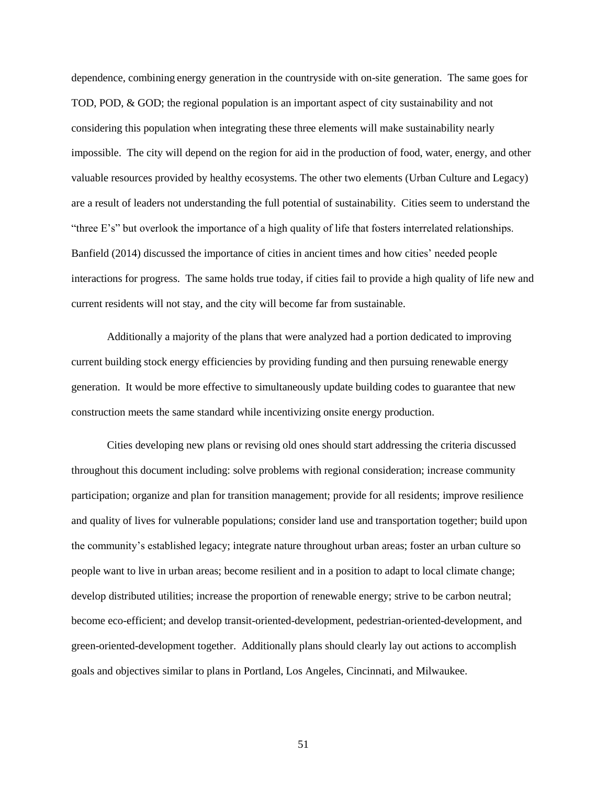dependence, combining energy generation in the countryside with on-site generation. The same goes for TOD, POD, & GOD; the regional population is an important aspect of city sustainability and not considering this population when integrating these three elements will make sustainability nearly impossible. The city will depend on the region for aid in the production of food, water, energy, and other valuable resources provided by healthy ecosystems. The other two elements (Urban Culture and Legacy) are a result of leaders not understanding the full potential of sustainability. Cities seem to understand the "three E's" but overlook the importance of a high quality of life that fosters interrelated relationships. Banfield (2014) discussed the importance of cities in ancient times and how cities' needed people interactions for progress. The same holds true today, if cities fail to provide a high quality of life new and current residents will not stay, and the city will become far from sustainable.

Additionally a majority of the plans that were analyzed had a portion dedicated to improving current building stock energy efficiencies by providing funding and then pursuing renewable energy generation. It would be more effective to simultaneously update building codes to guarantee that new construction meets the same standard while incentivizing onsite energy production.

Cities developing new plans or revising old ones should start addressing the criteria discussed throughout this document including: solve problems with regional consideration; increase community participation; organize and plan for transition management; provide for all residents; improve resilience and quality of lives for vulnerable populations; consider land use and transportation together; build upon the community's established legacy; integrate nature throughout urban areas; foster an urban culture so people want to live in urban areas; become resilient and in a position to adapt to local climate change; develop distributed utilities; increase the proportion of renewable energy; strive to be carbon neutral; become eco-efficient; and develop transit-oriented-development, pedestrian-oriented-development, and green-oriented-development together. Additionally plans should clearly lay out actions to accomplish goals and objectives similar to plans in Portland, Los Angeles, Cincinnati, and Milwaukee.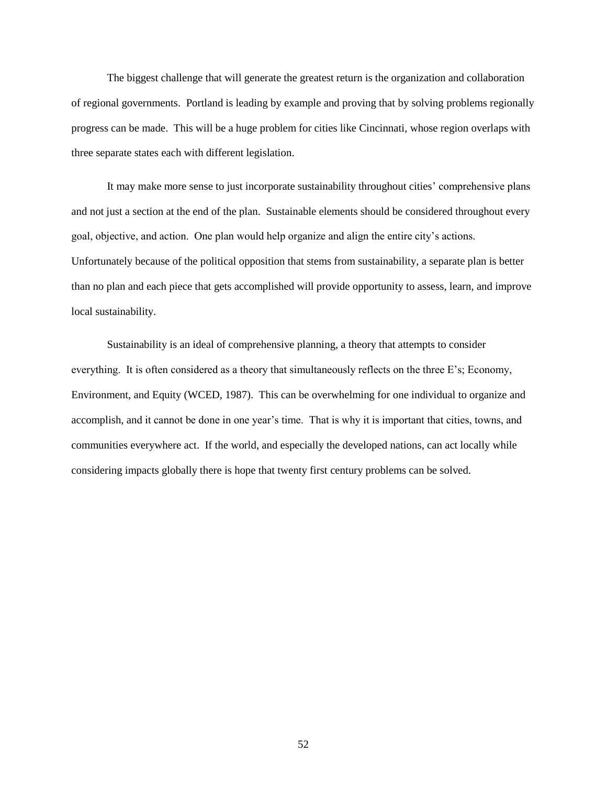The biggest challenge that will generate the greatest return is the organization and collaboration of regional governments. Portland is leading by example and proving that by solving problems regionally progress can be made. This will be a huge problem for cities like Cincinnati, whose region overlaps with three separate states each with different legislation.

It may make more sense to just incorporate sustainability throughout cities' comprehensive plans and not just a section at the end of the plan. Sustainable elements should be considered throughout every goal, objective, and action. One plan would help organize and align the entire city's actions. Unfortunately because of the political opposition that stems from sustainability, a separate plan is better than no plan and each piece that gets accomplished will provide opportunity to assess, learn, and improve local sustainability.

Sustainability is an ideal of comprehensive planning, a theory that attempts to consider everything. It is often considered as a theory that simultaneously reflects on the three E's; Economy, Environment, and Equity (WCED, 1987). This can be overwhelming for one individual to organize and accomplish, and it cannot be done in one year's time. That is why it is important that cities, towns, and communities everywhere act. If the world, and especially the developed nations, can act locally while considering impacts globally there is hope that twenty first century problems can be solved.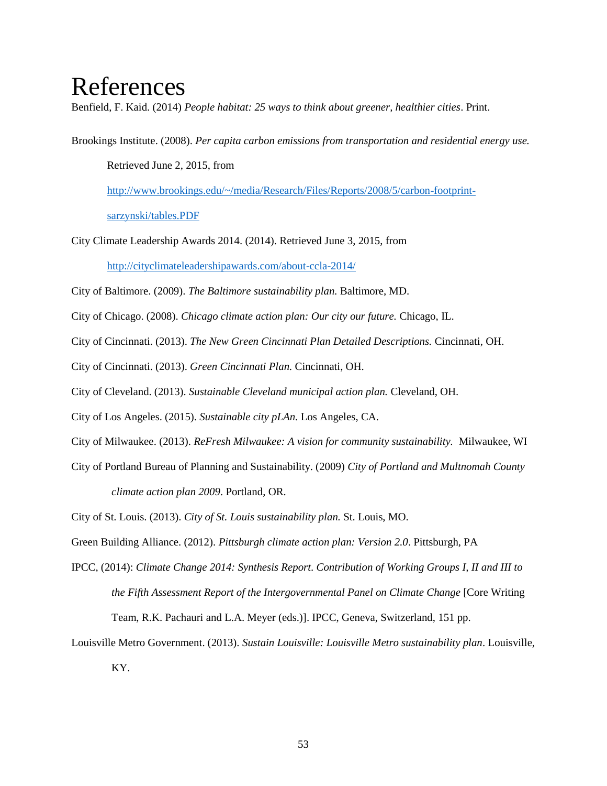## <span id="page-53-0"></span>References

Benfield, F. Kaid. (2014) *People habitat: 25 ways to think about greener, healthier cities*. Print.

Brookings Institute. (2008). *Per capita carbon emissions from transportation and residential energy use.* 

Retrieved June 2, 2015, from [http://www.brookings.edu/~/media/Research/Files/Reports/2008/5/carbon-footprint](http://www.brookings.edu/~/media/Research/Files/Reports/2008/5/carbon-footprint-sarzynski/tables.PDF)[sarzynski/tables.PDF](http://www.brookings.edu/~/media/Research/Files/Reports/2008/5/carbon-footprint-sarzynski/tables.PDF)

- City Climate Leadership Awards 2014. (2014). Retrieved June 3, 2015, from <http://cityclimateleadershipawards.com/about-ccla-2014/>
- City of Baltimore. (2009). *The Baltimore sustainability plan.* Baltimore, MD.
- City of Chicago. (2008). *Chicago climate action plan: Our city our future.* Chicago, IL.
- City of Cincinnati. (2013). *The New Green Cincinnati Plan Detailed Descriptions.* Cincinnati, OH.
- City of Cincinnati. (2013). *Green Cincinnati Plan.* Cincinnati, OH.
- City of Cleveland. (2013). *Sustainable Cleveland municipal action plan.* Cleveland, OH.
- City of Los Angeles. (2015). *Sustainable city pLAn.* Los Angeles, CA.
- City of Milwaukee. (2013). *ReFresh Milwaukee: A vision for community sustainability.* Milwaukee, WI
- City of Portland Bureau of Planning and Sustainability. (2009) *City of Portland and Multnomah County*

*climate action plan 2009*. Portland, OR.

City of St. Louis. (2013). *City of St. Louis sustainability plan.* St. Louis, MO.

Green Building Alliance. (2012). *Pittsburgh climate action plan: Version 2.0*. Pittsburgh, PA

IPCC, (2014): *Climate Change 2014: Synthesis Report*. *Contribution of Working Groups I, II and III to the Fifth Assessment Report of the Intergovernmental Panel on Climate Change* [Core Writing

Team, R.K. Pachauri and L.A. Meyer (eds.)]. IPCC, Geneva, Switzerland, 151 pp.

Louisville Metro Government. (2013). *Sustain Louisville: Louisville Metro sustainability plan*. Louisville, KY.